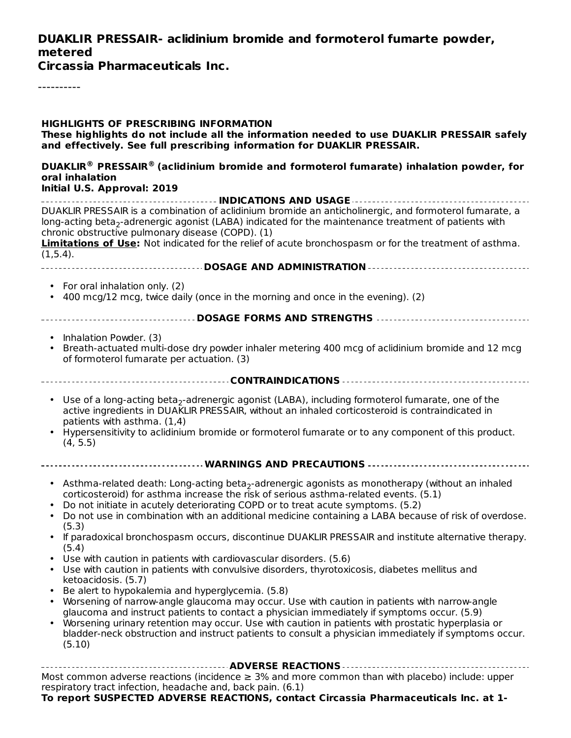## **DUAKLIR PRESSAIR- aclidinium bromide and formoterol fumarte powder, metered**

**Circassia Pharmaceuticals Inc.**

----------

| <b>HIGHLIGHTS OF PRESCRIBING INFORMATION</b><br>These highlights do not include all the information needed to use DUAKLIR PRESSAIR safely<br>and effectively. See full prescribing information for DUAKLIR PRESSAIR.                                                                                                                                                                                                                                                                                                                                                                                                                                                                                                                                                                                                                                                                                                                                                                                                                                                                                                                                                                                         |  |  |  |  |  |
|--------------------------------------------------------------------------------------------------------------------------------------------------------------------------------------------------------------------------------------------------------------------------------------------------------------------------------------------------------------------------------------------------------------------------------------------------------------------------------------------------------------------------------------------------------------------------------------------------------------------------------------------------------------------------------------------------------------------------------------------------------------------------------------------------------------------------------------------------------------------------------------------------------------------------------------------------------------------------------------------------------------------------------------------------------------------------------------------------------------------------------------------------------------------------------------------------------------|--|--|--|--|--|
| DUAKLIR <sup>®</sup> PRESSAIR <sup>®</sup> (aclidinium bromide and formoterol fumarate) inhalation powder, for<br>oral inhalation                                                                                                                                                                                                                                                                                                                                                                                                                                                                                                                                                                                                                                                                                                                                                                                                                                                                                                                                                                                                                                                                            |  |  |  |  |  |
| Initial U.S. Approval: 2019                                                                                                                                                                                                                                                                                                                                                                                                                                                                                                                                                                                                                                                                                                                                                                                                                                                                                                                                                                                                                                                                                                                                                                                  |  |  |  |  |  |
| DUAKLIR PRESSAIR is a combination of aclidinium bromide an anticholinergic, and formoterol fumarate, a<br>long-acting beta <sub>2</sub> -adrenergic agonist (LABA) indicated for the maintenance treatment of patients with<br>chronic obstructive pulmonary disease (COPD). (1)<br><b>Limitations of Use:</b> Not indicated for the relief of acute bronchospasm or for the treatment of asthma.<br>(1,5.4).                                                                                                                                                                                                                                                                                                                                                                                                                                                                                                                                                                                                                                                                                                                                                                                                |  |  |  |  |  |
|                                                                                                                                                                                                                                                                                                                                                                                                                                                                                                                                                                                                                                                                                                                                                                                                                                                                                                                                                                                                                                                                                                                                                                                                              |  |  |  |  |  |
| • For oral inhalation only. (2)<br>400 mcg/12 mcg, twice daily (once in the morning and once in the evening). (2)                                                                                                                                                                                                                                                                                                                                                                                                                                                                                                                                                                                                                                                                                                                                                                                                                                                                                                                                                                                                                                                                                            |  |  |  |  |  |
|                                                                                                                                                                                                                                                                                                                                                                                                                                                                                                                                                                                                                                                                                                                                                                                                                                                                                                                                                                                                                                                                                                                                                                                                              |  |  |  |  |  |
|                                                                                                                                                                                                                                                                                                                                                                                                                                                                                                                                                                                                                                                                                                                                                                                                                                                                                                                                                                                                                                                                                                                                                                                                              |  |  |  |  |  |
| Inhalation Powder. (3)<br>Breath-actuated multi-dose dry powder inhaler metering 400 mcg of aclidinium bromide and 12 mcg<br>of formoterol fumarate per actuation. (3)                                                                                                                                                                                                                                                                                                                                                                                                                                                                                                                                                                                                                                                                                                                                                                                                                                                                                                                                                                                                                                       |  |  |  |  |  |
|                                                                                                                                                                                                                                                                                                                                                                                                                                                                                                                                                                                                                                                                                                                                                                                                                                                                                                                                                                                                                                                                                                                                                                                                              |  |  |  |  |  |
| Use of a long-acting beta <sub>2</sub> -adrenergic agonist (LABA), including formoterol fumarate, one of the<br>active ingredients in DUAKLIR PRESSAIR, without an inhaled corticosteroid is contraindicated in<br>patients with asthma. (1,4)<br>Hypersensitivity to aclidinium bromide or formoterol fumarate or to any component of this product.<br>(4, 5.5)                                                                                                                                                                                                                                                                                                                                                                                                                                                                                                                                                                                                                                                                                                                                                                                                                                             |  |  |  |  |  |
|                                                                                                                                                                                                                                                                                                                                                                                                                                                                                                                                                                                                                                                                                                                                                                                                                                                                                                                                                                                                                                                                                                                                                                                                              |  |  |  |  |  |
| Asthma-related death: Long-acting beta <sub>2</sub> -adrenergic agonists as monotherapy (without an inhaled<br>$\bullet$<br>corticosteroid) for asthma increase the risk of serious asthma-related events. (5.1)<br>Do not initiate in acutely deteriorating COPD or to treat acute symptoms. (5.2)<br>Do not use in combination with an additional medicine containing a LABA because of risk of overdose.<br>(5.3)<br>If paradoxical bronchospasm occurs, discontinue DUAKLIR PRESSAIR and institute alternative therapy.<br>(5.4)<br>• Use with caution in patients with cardiovascular disorders. (5.6)<br>Use with caution in patients with convulsive disorders, thyrotoxicosis, diabetes mellitus and<br>ketoacidosis. (5.7)<br>Be alert to hypokalemia and hyperglycemia. (5.8)<br>Worsening of narrow-angle glaucoma may occur. Use with caution in patients with narrow-angle<br>glaucoma and instruct patients to contact a physician immediately if symptoms occur. (5.9)<br>Worsening urinary retention may occur. Use with caution in patients with prostatic hyperplasia or<br>bladder-neck obstruction and instruct patients to consult a physician immediately if symptoms occur.<br>(5.10) |  |  |  |  |  |
| ----------------------------------- ADVERSE REACTIONS -------------------------------<br>Most common adverse reactions (incidence $\geq$ 3% and more common than with placebo) include: upper<br>respiratory tract infection, headache and, back pain. (6.1)<br>To report SUSPECTED ADVERSE REACTIONS, contact Circassia Pharmaceuticals Inc. at 1-                                                                                                                                                                                                                                                                                                                                                                                                                                                                                                                                                                                                                                                                                                                                                                                                                                                          |  |  |  |  |  |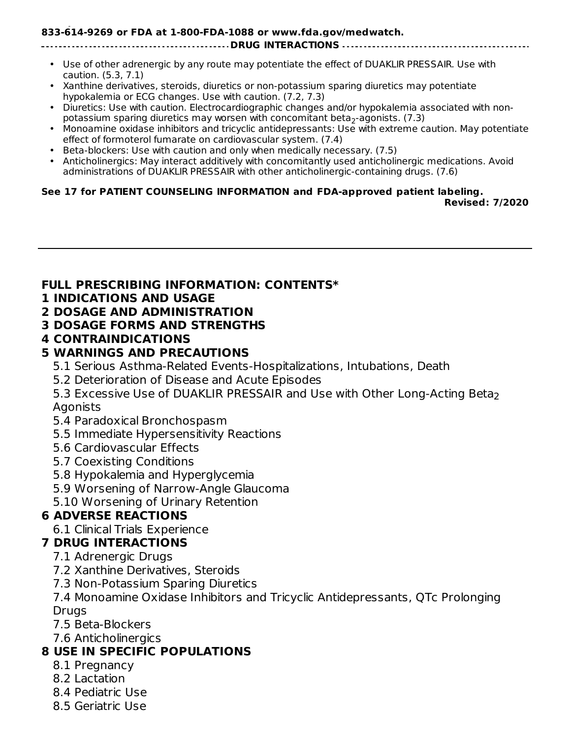#### **To report SUSPECTED ADVERSE REACTIONS, contact Circassia Pharmaceuticals Inc. at 1- 833-614-9269 or FDA at 1-800-FDA-1088 or www.fda.gov/medwatch.**

#### **DRUG INTERACTIONS**

- Use of other adrenergic by any route may potentiate the effect of DUAKLIR PRESSAIR. Use with caution. (5.3, 7.1)
- Xanthine derivatives, steroids, diuretics or non-potassium sparing diuretics may potentiate hypokalemia or ECG changes. Use with caution. (7.2, 7.3)
- Diuretics: Use with caution. Electrocardiographic changes and/or hypokalemia associated with nonpotassium sparing diuretics may worsen with concomitant beta $_2$ -agonists. (7.3)
- Monoamine oxidase inhibitors and tricyclic antidepressants: Use with extreme caution. May potentiate effect of formoterol fumarate on cardiovascular system. (7.4)
- Beta-blockers: Use with caution and only when medically necessary. (7.5)
- Anticholinergics: May interact additively with concomitantly used anticholinergic medications. Avoid administrations of DUAKLIR PRESSAIR with other anticholinergic-containing drugs. (7.6)

#### **See 17 for PATIENT COUNSELING INFORMATION and FDA-approved patient labeling.**

**Revised: 7/2020**

#### **FULL PRESCRIBING INFORMATION: CONTENTS\***

#### **1 INDICATIONS AND USAGE**

#### **2 DOSAGE AND ADMINISTRATION**

**3 DOSAGE FORMS AND STRENGTHS**

#### **4 CONTRAINDICATIONS**

#### **5 WARNINGS AND PRECAUTIONS**

- 5.1 Serious Asthma-Related Events-Hospitalizations, Intubations, Death
- 5.2 Deterioration of Disease and Acute Episodes
- 5.3 Excessive Use of DUAKLIR PRESSAIR and Use with Other Long-Acting Beta 2Agonists
- 5.4 Paradoxical Bronchospasm
- 5.5 Immediate Hypersensitivity Reactions
- 5.6 Cardiovascular Effects
- 5.7 Coexisting Conditions
- 5.8 Hypokalemia and Hyperglycemia
- 5.9 Worsening of Narrow-Angle Glaucoma
- 5.10 Worsening of Urinary Retention

#### **6 ADVERSE REACTIONS**

6.1 Clinical Trials Experience

#### **7 DRUG INTERACTIONS**

- 7.1 Adrenergic Drugs
- 7.2 Xanthine Derivatives, Steroids
- 7.3 Non-Potassium Sparing Diuretics

7.4 Monoamine Oxidase Inhibitors and Tricyclic Antidepressants, QTc Prolonging **Drugs** 

- 7.5 Beta-Blockers
- 7.6 Anticholinergics

## **8 USE IN SPECIFIC POPULATIONS**

- 8.1 Pregnancy
- 8.2 Lactation
- 8.4 Pediatric Use
- 8.5 Geriatric Use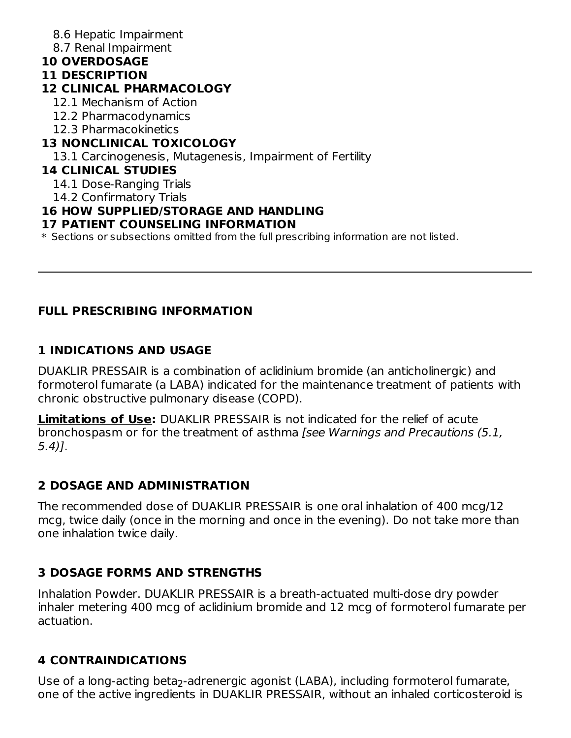- 8.6 Hepatic Impairment
- 8.7 Renal Impairment
- **10 OVERDOSAGE**

#### **11 DESCRIPTION**

## **12 CLINICAL PHARMACOLOGY**

- 12.1 Mechanism of Action
- 12.2 Pharmacodynamics
- 12.3 Pharmacokinetics

## **13 NONCLINICAL TOXICOLOGY**

13.1 Carcinogenesis, Mutagenesis, Impairment of Fertility

## **14 CLINICAL STUDIES**

14.1 Dose-Ranging Trials

14.2 Confirmatory Trials

## **16 HOW SUPPLIED/STORAGE AND HANDLING**

### **17 PATIENT COUNSELING INFORMATION**

\* Sections or subsections omitted from the full prescribing information are not listed.

## **FULL PRESCRIBING INFORMATION**

## **1 INDICATIONS AND USAGE**

DUAKLIR PRESSAIR is a combination of aclidinium bromide (an anticholinergic) and formoterol fumarate (a LABA) indicated for the maintenance treatment of patients with chronic obstructive pulmonary disease (COPD).

**Limitations of Use:** DUAKLIR PRESSAIR is not indicated for the relief of acute bronchospasm or for the treatment of asthma [see Warnings and Precautions (5.1, 5.4)].

## **2 DOSAGE AND ADMINISTRATION**

The recommended dose of DUAKLIR PRESSAIR is one oral inhalation of 400 mcg/12 mcg, twice daily (once in the morning and once in the evening). Do not take more than one inhalation twice daily.

## **3 DOSAGE FORMS AND STRENGTHS**

Inhalation Powder. DUAKLIR PRESSAIR is a breath-actuated multi-dose dry powder inhaler metering 400 mcg of aclidinium bromide and 12 mcg of formoterol fumarate per actuation.

## **4 CONTRAINDICATIONS**

Use of a long-acting beta<sub>2</sub>-adrenergic agonist (LABA), including formoterol fumarate, one of the active ingredients in DUAKLIR PRESSAIR, without an inhaled corticosteroid is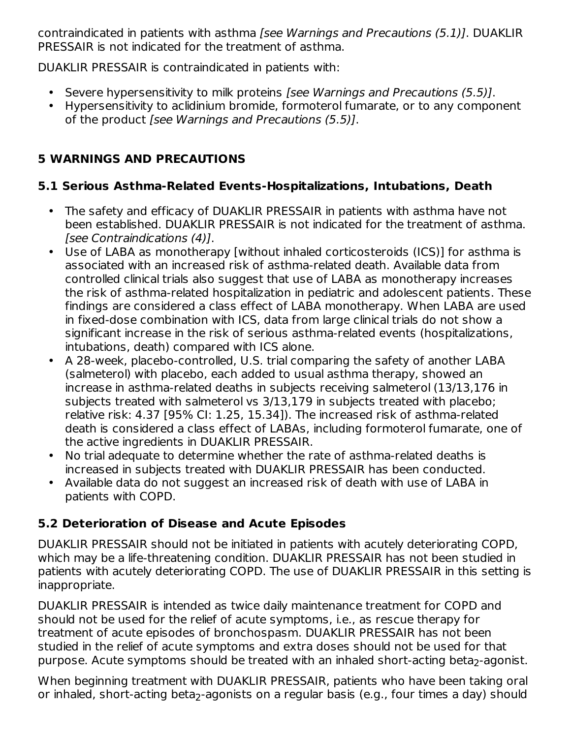contraindicated in patients with asthma [see Warnings and Precautions (5.1)]. DUAKLIR PRESSAIR is not indicated for the treatment of asthma.

DUAKLIR PRESSAIR is contraindicated in patients with:

- Severe hypersensitivity to milk proteins [see Warnings and Precautions (5.5)].
- Hypersensitivity to aclidinium bromide, formoterol fumarate, or to any component of the product [see Warnings and Precautions (5.5)].

## **5 WARNINGS AND PRECAUTIONS**

### **5.1 Serious Asthma-Related Events-Hospitalizations, Intubations, Death**

- The safety and efficacy of DUAKLIR PRESSAIR in patients with asthma have not been established. DUAKLIR PRESSAIR is not indicated for the treatment of asthma. [see Contraindications (4)].
- Use of LABA as monotherapy [without inhaled corticosteroids (ICS)] for asthma is associated with an increased risk of asthma-related death. Available data from controlled clinical trials also suggest that use of LABA as monotherapy increases the risk of asthma-related hospitalization in pediatric and adolescent patients. These findings are considered a class effect of LABA monotherapy. When LABA are used in fixed-dose combination with ICS, data from large clinical trials do not show a significant increase in the risk of serious asthma-related events (hospitalizations, intubations, death) compared with ICS alone.
- A 28-week, placebo-controlled, U.S. trial comparing the safety of another LABA (salmeterol) with placebo, each added to usual asthma therapy, showed an increase in asthma-related deaths in subjects receiving salmeterol (13/13,176 in subjects treated with salmeterol vs 3/13,179 in subjects treated with placebo; relative risk: 4.37 [95% CI: 1.25, 15.34]). The increased risk of asthma-related death is considered a class effect of LABAs, including formoterol fumarate, one of the active ingredients in DUAKLIR PRESSAIR.
- No trial adequate to determine whether the rate of asthma-related deaths is increased in subjects treated with DUAKLIR PRESSAIR has been conducted.
- Available data do not suggest an increased risk of death with use of LABA in patients with COPD.

## **5.2 Deterioration of Disease and Acute Episodes**

DUAKLIR PRESSAIR should not be initiated in patients with acutely deteriorating COPD, which may be a life-threatening condition. DUAKLIR PRESSAIR has not been studied in patients with acutely deteriorating COPD. The use of DUAKLIR PRESSAIR in this setting is inappropriate.

DUAKLIR PRESSAIR is intended as twice daily maintenance treatment for COPD and should not be used for the relief of acute symptoms, i.e., as rescue therapy for treatment of acute episodes of bronchospasm. DUAKLIR PRESSAIR has not been studied in the relief of acute symptoms and extra doses should not be used for that purpose. Acute symptoms should be treated with an inhaled short-acting beta<sub>2</sub>-agonist.

When beginning treatment with DUAKLIR PRESSAIR, patients who have been taking oral or inhaled, short-acting beta<sub>2</sub>-agonists on a regular basis (e.g., four times a day) should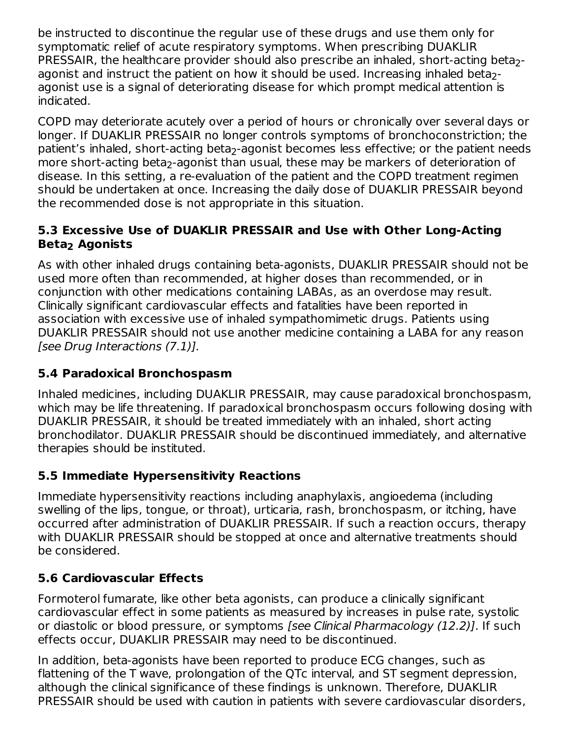be instructed to discontinue the regular use of these drugs and use them only for symptomatic relief of acute respiratory symptoms. When prescribing DUAKLIR PRESSAIR, the healthcare provider should also prescribe an inhaled, short-acting beta $_2\text{-}$ agonist and instruct the patient on how it should be used. Increasing inhaled beta $_2\text{-}$ agonist use is a signal of deteriorating disease for which prompt medical attention is indicated.

COPD may deteriorate acutely over a period of hours or chronically over several days or longer. If DUAKLIR PRESSAIR no longer controls symptoms of bronchoconstriction; the patient's inhaled, short-acting beta<sub>2</sub>-agonist becomes less effective; or the patient needs more short-acting beta<sub>2</sub>-agonist than usual, these may be markers of deterioration of disease. In this setting, a re-evaluation of the patient and the COPD treatment regimen should be undertaken at once. Increasing the daily dose of DUAKLIR PRESSAIR beyond the recommended dose is not appropriate in this situation.

#### **5.3 Excessive Use of DUAKLIR PRESSAIR and Use with Other Long-Acting Beta Agonists 2**

As with other inhaled drugs containing beta-agonists, DUAKLIR PRESSAIR should not be used more often than recommended, at higher doses than recommended, or in conjunction with other medications containing LABAs, as an overdose may result. Clinically significant cardiovascular effects and fatalities have been reported in association with excessive use of inhaled sympathomimetic drugs. Patients using DUAKLIR PRESSAIR should not use another medicine containing a LABA for any reason [see Drug Interactions (7.1)].

## **5.4 Paradoxical Bronchospasm**

Inhaled medicines, including DUAKLIR PRESSAIR, may cause paradoxical bronchospasm, which may be life threatening. If paradoxical bronchospasm occurs following dosing with DUAKLIR PRESSAIR, it should be treated immediately with an inhaled, short acting bronchodilator. DUAKLIR PRESSAIR should be discontinued immediately, and alternative therapies should be instituted.

## **5.5 Immediate Hypersensitivity Reactions**

Immediate hypersensitivity reactions including anaphylaxis, angioedema (including swelling of the lips, tongue, or throat), urticaria, rash, bronchospasm, or itching, have occurred after administration of DUAKLIR PRESSAIR. If such a reaction occurs, therapy with DUAKLIR PRESSAIR should be stopped at once and alternative treatments should be considered.

## **5.6 Cardiovascular Effects**

Formoterol fumarate, like other beta agonists, can produce a clinically significant cardiovascular effect in some patients as measured by increases in pulse rate, systolic or diastolic or blood pressure, or symptoms [see Clinical Pharmacology (12.2)]. If such effects occur, DUAKLIR PRESSAIR may need to be discontinued.

In addition, beta-agonists have been reported to produce ECG changes, such as flattening of the T wave, prolongation of the QTc interval, and ST segment depression, although the clinical significance of these findings is unknown. Therefore, DUAKLIR PRESSAIR should be used with caution in patients with severe cardiovascular disorders,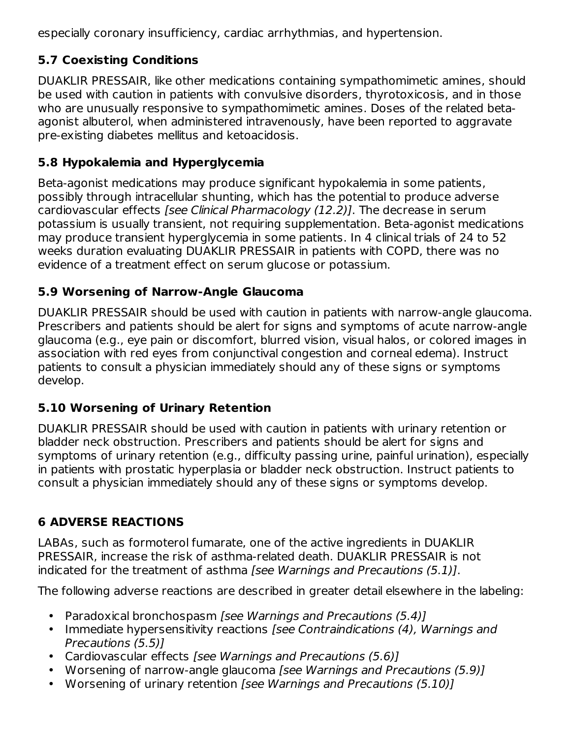especially coronary insufficiency, cardiac arrhythmias, and hypertension.

## **5.7 Coexisting Conditions**

DUAKLIR PRESSAIR, like other medications containing sympathomimetic amines, should be used with caution in patients with convulsive disorders, thyrotoxicosis, and in those who are unusually responsive to sympathomimetic amines. Doses of the related betaagonist albuterol, when administered intravenously, have been reported to aggravate pre-existing diabetes mellitus and ketoacidosis.

## **5.8 Hypokalemia and Hyperglycemia**

Beta-agonist medications may produce significant hypokalemia in some patients, possibly through intracellular shunting, which has the potential to produce adverse cardiovascular effects [see Clinical Pharmacology (12.2)]. The decrease in serum potassium is usually transient, not requiring supplementation. Beta-agonist medications may produce transient hyperglycemia in some patients. In 4 clinical trials of 24 to 52 weeks duration evaluating DUAKLIR PRESSAIR in patients with COPD, there was no evidence of a treatment effect on serum glucose or potassium.

## **5.9 Worsening of Narrow-Angle Glaucoma**

DUAKLIR PRESSAIR should be used with caution in patients with narrow-angle glaucoma. Prescribers and patients should be alert for signs and symptoms of acute narrow-angle glaucoma (e.g., eye pain or discomfort, blurred vision, visual halos, or colored images in association with red eyes from conjunctival congestion and corneal edema). Instruct patients to consult a physician immediately should any of these signs or symptoms develop.

## **5.10 Worsening of Urinary Retention**

DUAKLIR PRESSAIR should be used with caution in patients with urinary retention or bladder neck obstruction. Prescribers and patients should be alert for signs and symptoms of urinary retention (e.g., difficulty passing urine, painful urination), especially in patients with prostatic hyperplasia or bladder neck obstruction. Instruct patients to consult a physician immediately should any of these signs or symptoms develop.

## **6 ADVERSE REACTIONS**

LABAs, such as formoterol fumarate, one of the active ingredients in DUAKLIR PRESSAIR, increase the risk of asthma-related death. DUAKLIR PRESSAIR is not indicated for the treatment of asthma *[see Warnings and Precautions (5.1)]*.

The following adverse reactions are described in greater detail elsewhere in the labeling:

- Paradoxical bronchospasm [see Warnings and Precautions (5.4)]
- Immediate hypersensitivity reactions [see Contraindications (4), Warnings and Precautions (5.5)]
- Cardiovascular effects [see Warnings and Precautions (5.6)]
- Worsening of narrow-angle glaucoma [see Warnings and Precautions (5.9)]
- Worsening of urinary retention [see Warnings and Precautions (5.10)]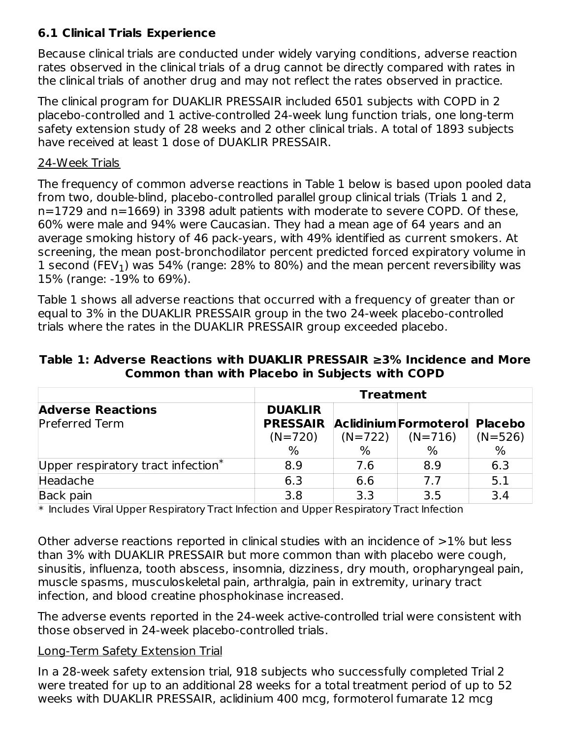### **6.1 Clinical Trials Experience**

Because clinical trials are conducted under widely varying conditions, adverse reaction rates observed in the clinical trials of a drug cannot be directly compared with rates in the clinical trials of another drug and may not reflect the rates observed in practice.

The clinical program for DUAKLIR PRESSAIR included 6501 subjects with COPD in 2 placebo-controlled and 1 active-controlled 24-week lung function trials, one long-term safety extension study of 28 weeks and 2 other clinical trials. A total of 1893 subjects have received at least 1 dose of DUAKLIR PRESSAIR.

#### 24-Week Trials

The frequency of common adverse reactions in Table 1 below is based upon pooled data from two, double-blind, placebo-controlled parallel group clinical trials (Trials 1 and 2, n=1729 and n=1669) in 3398 adult patients with moderate to severe COPD. Of these, 60% were male and 94% were Caucasian. They had a mean age of 64 years and an average smoking history of 46 pack-years, with 49% identified as current smokers. At screening, the mean post-bronchodilator percent predicted forced expiratory volume in  $1$  second (FEV $_1$ ) was 54% (range: 28% to 80%) and the mean percent reversibility was 15% (range: -19% to 69%).

Table 1 shows all adverse reactions that occurred with a frequency of greater than or equal to 3% in the DUAKLIR PRESSAIR group in the two 24-week placebo-controlled trials where the rates in the DUAKLIR PRESSAIR group exceeded placebo.

| Table 1: Adverse Reactions with DUAKLIR PRESSAIR $\geq$ 3% Incidence and More |                                                       |  |
|-------------------------------------------------------------------------------|-------------------------------------------------------|--|
|                                                                               | <b>Common than with Placebo in Subjects with COPD</b> |  |

|                                       | <b>Treatment</b> |     |                               |           |  |  |
|---------------------------------------|------------------|-----|-------------------------------|-----------|--|--|
| <b>Adverse Reactions</b>              | <b>DUAKLIR</b>   |     |                               |           |  |  |
| <b>Preferred Term</b>                 | <b>PRESSAIR</b>  |     | Aclidinium Formoterol Placebo |           |  |  |
|                                       | $(N=720)$        |     | $(N=722)$ $(N=716)$           | $(N=526)$ |  |  |
|                                       | $\%$             | ℅   | $\%$                          | %         |  |  |
| Upper respiratory tract infection $*$ | 8.9              | 7.6 | 8.9                           | 6.3       |  |  |
| Headache                              | 6.3              | 6.6 | 7.7                           | 5.1       |  |  |
| Back pain                             | 3.8              | 3.3 | 3.5                           | 3.4       |  |  |

\* Includes Viral Upper Respiratory Tract Infection and Upper Respiratory Tract Infection

Other adverse reactions reported in clinical studies with an incidence of >1% but less than 3% with DUAKLIR PRESSAIR but more common than with placebo were cough, sinusitis, influenza, tooth abscess, insomnia, dizziness, dry mouth, oropharyngeal pain, muscle spasms, musculoskeletal pain, arthralgia, pain in extremity, urinary tract infection, and blood creatine phosphokinase increased.

The adverse events reported in the 24-week active-controlled trial were consistent with those observed in 24-week placebo-controlled trials.

#### Long-Term Safety Extension Trial

In a 28-week safety extension trial, 918 subjects who successfully completed Trial 2 were treated for up to an additional 28 weeks for a total treatment period of up to 52 weeks with DUAKLIR PRESSAIR, aclidinium 400 mcg, formoterol fumarate 12 mcg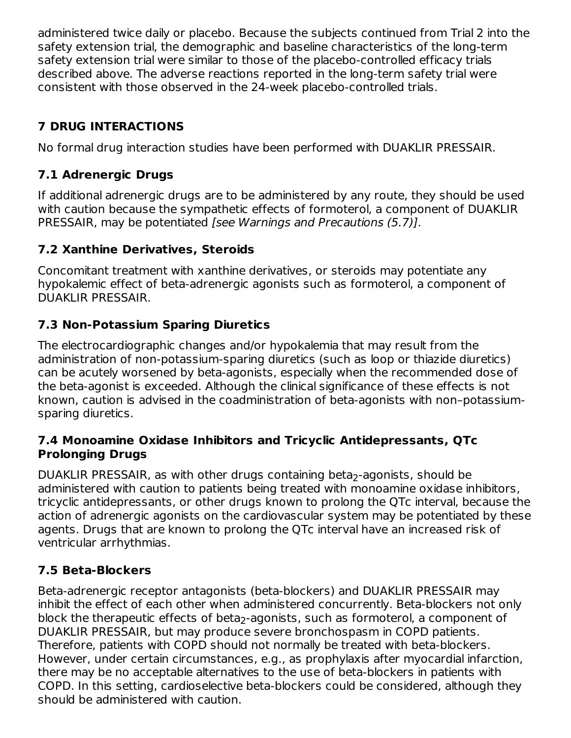administered twice daily or placebo. Because the subjects continued from Trial 2 into the safety extension trial, the demographic and baseline characteristics of the long-term safety extension trial were similar to those of the placebo-controlled efficacy trials described above. The adverse reactions reported in the long-term safety trial were consistent with those observed in the 24-week placebo-controlled trials.

## **7 DRUG INTERACTIONS**

No formal drug interaction studies have been performed with DUAKLIR PRESSAIR.

## **7.1 Adrenergic Drugs**

If additional adrenergic drugs are to be administered by any route, they should be used with caution because the sympathetic effects of formoterol, a component of DUAKLIR PRESSAIR, may be potentiated [see Warnings and Precautions (5.7)].

## **7.2 Xanthine Derivatives, Steroids**

Concomitant treatment with xanthine derivatives, or steroids may potentiate any hypokalemic effect of beta-adrenergic agonists such as formoterol, a component of DUAKLIR PRESSAIR.

## **7.3 Non-Potassium Sparing Diuretics**

The electrocardiographic changes and/or hypokalemia that may result from the administration of non-potassium-sparing diuretics (such as loop or thiazide diuretics) can be acutely worsened by beta-agonists, especially when the recommended dose of the beta-agonist is exceeded. Although the clinical significance of these effects is not known, caution is advised in the coadministration of beta-agonists with non–potassiumsparing diuretics.

#### **7.4 Monoamine Oxidase Inhibitors and Tricyclic Antidepressants, QTc Prolonging Drugs**

DUAKLIR PRESSAIR, as with other drugs containing beta<sub>2</sub>-agonists, should be administered with caution to patients being treated with monoamine oxidase inhibitors, tricyclic antidepressants, or other drugs known to prolong the QTc interval, because the action of adrenergic agonists on the cardiovascular system may be potentiated by these agents. Drugs that are known to prolong the QTc interval have an increased risk of ventricular arrhythmias.

## **7.5 Beta-Blockers**

Beta-adrenergic receptor antagonists (beta-blockers) and DUAKLIR PRESSAIR may inhibit the effect of each other when administered concurrently. Beta-blockers not only block the therapeutic effects of beta<sub>2</sub>-agonists, such as formoterol, a component of DUAKLIR PRESSAIR, but may produce severe bronchospasm in COPD patients. Therefore, patients with COPD should not normally be treated with beta-blockers. However, under certain circumstances, e.g., as prophylaxis after myocardial infarction, there may be no acceptable alternatives to the use of beta-blockers in patients with COPD. In this setting, cardioselective beta-blockers could be considered, although they should be administered with caution.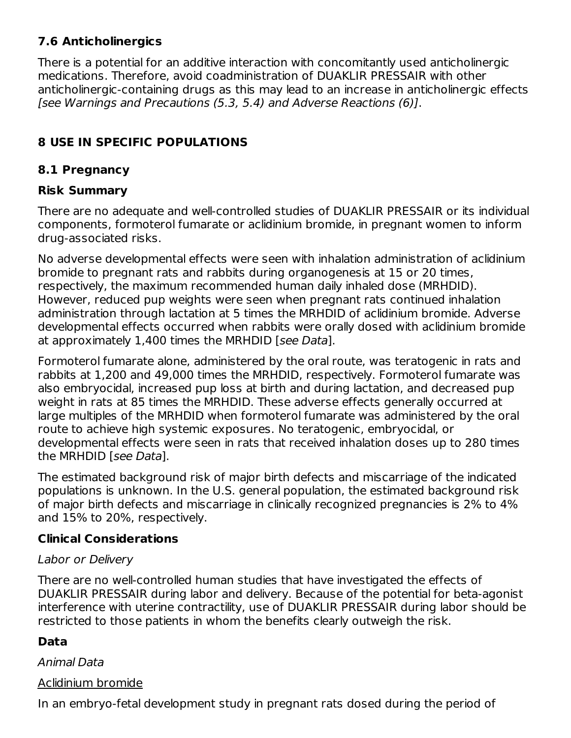### **7.6 Anticholinergics**

There is a potential for an additive interaction with concomitantly used anticholinergic medications. Therefore, avoid coadministration of DUAKLIR PRESSAIR with other anticholinergic-containing drugs as this may lead to an increase in anticholinergic effects [see Warnings and Precautions (5.3, 5.4) and Adverse Reactions (6)].

## **8 USE IN SPECIFIC POPULATIONS**

#### **8.1 Pregnancy**

#### **Risk Summary**

There are no adequate and well-controlled studies of DUAKLIR PRESSAIR or its individual components, formoterol fumarate or aclidinium bromide, in pregnant women to inform drug-associated risks.

No adverse developmental effects were seen with inhalation administration of aclidinium bromide to pregnant rats and rabbits during organogenesis at 15 or 20 times, respectively, the maximum recommended human daily inhaled dose (MRHDID). However, reduced pup weights were seen when pregnant rats continued inhalation administration through lactation at 5 times the MRHDID of aclidinium bromide. Adverse developmental effects occurred when rabbits were orally dosed with aclidinium bromide at approximately 1,400 times the MRHDID [see Data].

Formoterol fumarate alone, administered by the oral route, was teratogenic in rats and rabbits at 1,200 and 49,000 times the MRHDID, respectively. Formoterol fumarate was also embryocidal, increased pup loss at birth and during lactation, and decreased pup weight in rats at 85 times the MRHDID. These adverse effects generally occurred at large multiples of the MRHDID when formoterol fumarate was administered by the oral route to achieve high systemic exposures. No teratogenic, embryocidal, or developmental effects were seen in rats that received inhalation doses up to 280 times the MRHDID [see Data].

The estimated background risk of major birth defects and miscarriage of the indicated populations is unknown. In the U.S. general population, the estimated background risk of major birth defects and miscarriage in clinically recognized pregnancies is 2% to 4% and 15% to 20%, respectively.

#### **Clinical Considerations**

#### Labor or Delivery

There are no well-controlled human studies that have investigated the effects of DUAKLIR PRESSAIR during labor and delivery. Because of the potential for beta-agonist interference with uterine contractility, use of DUAKLIR PRESSAIR during labor should be restricted to those patients in whom the benefits clearly outweigh the risk.

#### **Data**

#### Animal Data

#### Aclidinium bromide

In an embryo-fetal development study in pregnant rats dosed during the period of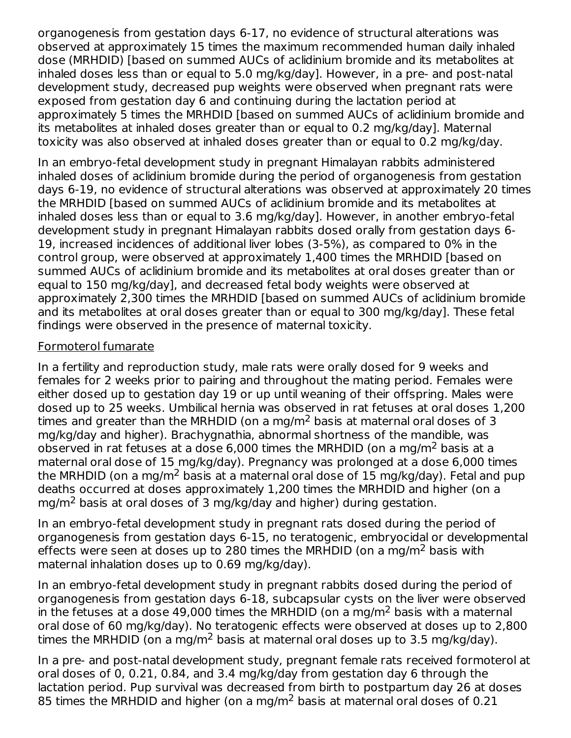organogenesis from gestation days 6-17, no evidence of structural alterations was observed at approximately 15 times the maximum recommended human daily inhaled dose (MRHDID) [based on summed AUCs of aclidinium bromide and its metabolites at inhaled doses less than or equal to 5.0 mg/kg/day]. However, in a pre- and post-natal development study, decreased pup weights were observed when pregnant rats were exposed from gestation day 6 and continuing during the lactation period at approximately 5 times the MRHDID [based on summed AUCs of aclidinium bromide and its metabolites at inhaled doses greater than or equal to 0.2 mg/kg/day]. Maternal toxicity was also observed at inhaled doses greater than or equal to 0.2 mg/kg/day.

In an embryo-fetal development study in pregnant Himalayan rabbits administered inhaled doses of aclidinium bromide during the period of organogenesis from gestation days 6-19, no evidence of structural alterations was observed at approximately 20 times the MRHDID [based on summed AUCs of aclidinium bromide and its metabolites at inhaled doses less than or equal to 3.6 mg/kg/day]. However, in another embryo-fetal development study in pregnant Himalayan rabbits dosed orally from gestation days 6- 19, increased incidences of additional liver lobes (3-5%), as compared to 0% in the control group, were observed at approximately 1,400 times the MRHDID [based on summed AUCs of aclidinium bromide and its metabolites at oral doses greater than or equal to 150 mg/kg/day], and decreased fetal body weights were observed at approximately 2,300 times the MRHDID [based on summed AUCs of aclidinium bromide and its metabolites at oral doses greater than or equal to 300 mg/kg/day]. These fetal findings were observed in the presence of maternal toxicity.

#### Formoterol fumarate

In a fertility and reproduction study, male rats were orally dosed for 9 weeks and females for 2 weeks prior to pairing and throughout the mating period. Females were either dosed up to gestation day 19 or up until weaning of their offspring. Males were dosed up to 25 weeks. Umbilical hernia was observed in rat fetuses at oral doses 1,200 times and greater than the MRHDID (on a mg/m<sup>2</sup> basis at maternal oral doses of 3 mg/kg/day and higher). Brachygnathia, abnormal shortness of the mandible, was observed in rat fetuses at a dose 6,000 times the MRHDID (on a mg/m<sup>2</sup> basis at a maternal oral dose of 15 mg/kg/day). Pregnancy was prolonged at a dose 6,000 times the MRHDID (on a mg/m $^2$  basis at a maternal oral dose of 15 mg/kg/day). Fetal and pup deaths occurred at doses approximately 1,200 times the MRHDID and higher (on a mg/m<sup>2</sup> basis at oral doses of 3 mg/kg/day and higher) during gestation.

In an embryo-fetal development study in pregnant rats dosed during the period of organogenesis from gestation days 6-15, no teratogenic, embryocidal or developmental effects were seen at doses up to 280 times the MRHDID (on a mg/m<sup>2</sup> basis with maternal inhalation doses up to 0.69 mg/kg/day).

In an embryo-fetal development study in pregnant rabbits dosed during the period of organogenesis from gestation days 6-18, subcapsular cysts on the liver were observed in the fetuses at a dose 49,000 times the MRHDID (on a mg/m<sup>2</sup> basis with a maternal oral dose of 60 mg/kg/day). No teratogenic effects were observed at doses up to 2,800 times the MRHDID (on a mg/m<sup>2</sup> basis at maternal oral doses up to 3.5 mg/kg/day).

In a pre- and post-natal development study, pregnant female rats received formoterol at oral doses of 0, 0.21, 0.84, and 3.4 mg/kg/day from gestation day 6 through the lactation period. Pup survival was decreased from birth to postpartum day 26 at doses 85 times the MRHDID and higher (on a mg/m<sup>2</sup> basis at maternal oral doses of 0.21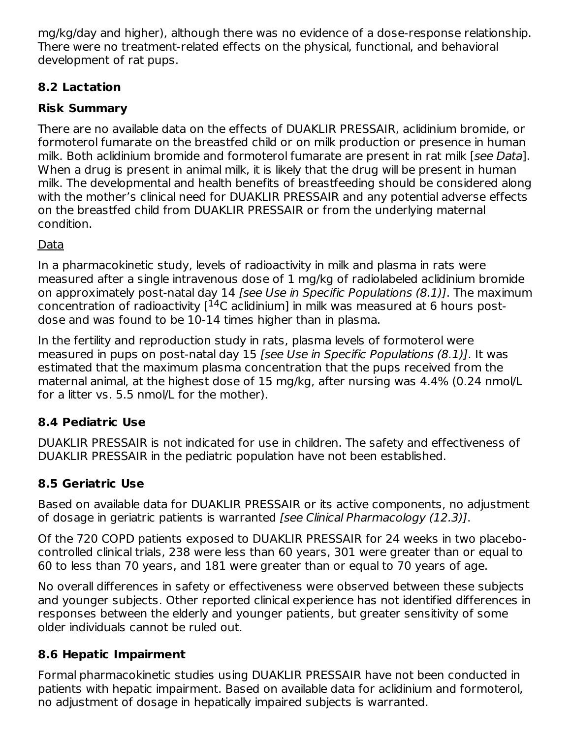mg/kg/day and higher), although there was no evidence of a dose-response relationship. There were no treatment-related effects on the physical, functional, and behavioral development of rat pups.

## **8.2 Lactation**

## **Risk Summary**

There are no available data on the effects of DUAKLIR PRESSAIR, aclidinium bromide, or formoterol fumarate on the breastfed child or on milk production or presence in human milk. Both aclidinium bromide and formoterol fumarate are present in rat milk [see Data]. When a drug is present in animal milk, it is likely that the drug will be present in human milk. The developmental and health benefits of breastfeeding should be considered along with the mother's clinical need for DUAKLIR PRESSAIR and any potential adverse effects on the breastfed child from DUAKLIR PRESSAIR or from the underlying maternal condition.

### Data

In a pharmacokinetic study, levels of radioactivity in milk and plasma in rats were measured after a single intravenous dose of 1 mg/kg of radiolabeled aclidinium bromide on approximately post-natal day 14 [see Use in Specific Populations (8.1)]. The maximum concentration of radioactivity  $[$ <sup>14</sup>C aclidinium] in milk was measured at 6 hours postdose and was found to be 10-14 times higher than in plasma.

In the fertility and reproduction study in rats, plasma levels of formoterol were measured in pups on post-natal day 15 [see Use in Specific Populations (8.1)]. It was estimated that the maximum plasma concentration that the pups received from the maternal animal, at the highest dose of 15 mg/kg, after nursing was 4.4% (0.24 nmol/L for a litter vs. 5.5 nmol/L for the mother).

## **8.4 Pediatric Use**

DUAKLIR PRESSAIR is not indicated for use in children. The safety and effectiveness of DUAKLIR PRESSAIR in the pediatric population have not been established.

## **8.5 Geriatric Use**

Based on available data for DUAKLIR PRESSAIR or its active components, no adjustment of dosage in geriatric patients is warranted [see Clinical Pharmacology (12.3)].

Of the 720 COPD patients exposed to DUAKLIR PRESSAIR for 24 weeks in two placebocontrolled clinical trials, 238 were less than 60 years, 301 were greater than or equal to 60 to less than 70 years, and 181 were greater than or equal to 70 years of age.

No overall differences in safety or effectiveness were observed between these subjects and younger subjects. Other reported clinical experience has not identified differences in responses between the elderly and younger patients, but greater sensitivity of some older individuals cannot be ruled out.

#### **8.6 Hepatic Impairment**

Formal pharmacokinetic studies using DUAKLIR PRESSAIR have not been conducted in patients with hepatic impairment. Based on available data for aclidinium and formoterol, no adjustment of dosage in hepatically impaired subjects is warranted.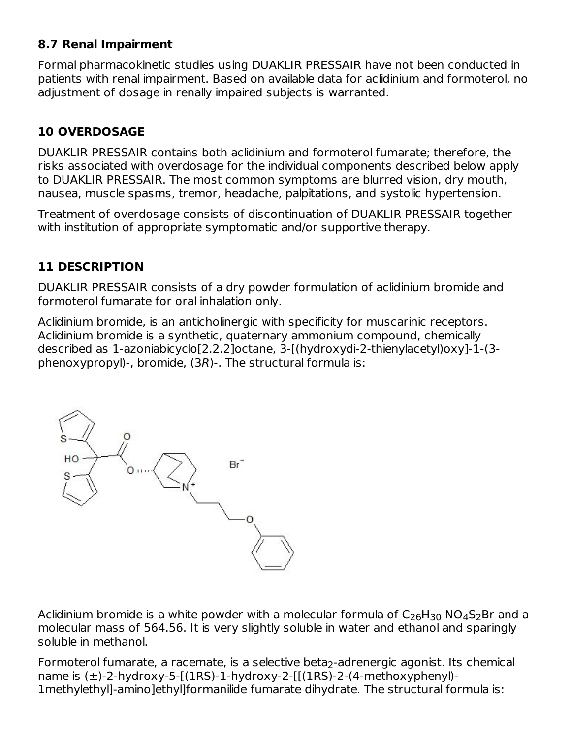#### **8.7 Renal Impairment**

Formal pharmacokinetic studies using DUAKLIR PRESSAIR have not been conducted in patients with renal impairment. Based on available data for aclidinium and formoterol, no adjustment of dosage in renally impaired subjects is warranted.

## **10 OVERDOSAGE**

DUAKLIR PRESSAIR contains both aclidinium and formoterol fumarate; therefore, the risks associated with overdosage for the individual components described below apply to DUAKLIR PRESSAIR. The most common symptoms are blurred vision, dry mouth, nausea, muscle spasms, tremor, headache, palpitations, and systolic hypertension.

Treatment of overdosage consists of discontinuation of DUAKLIR PRESSAIR together with institution of appropriate symptomatic and/or supportive therapy.

### **11 DESCRIPTION**

DUAKLIR PRESSAIR consists of a dry powder formulation of aclidinium bromide and formoterol fumarate for oral inhalation only.

Aclidinium bromide, is an anticholinergic with specificity for muscarinic receptors. Aclidinium bromide is a synthetic, quaternary ammonium compound, chemically described as 1-azoniabicyclo[2.2.2]octane, 3-[(hydroxydi-2-thienylacetyl)oxy]-1-(3 phenoxypropyl)-, bromide, (3R)-. The structural formula is:



Aclidinium bromide is a white powder with a molecular formula of  $\mathsf{C}_\mathsf{26}\mathsf{H}_{\mathsf{30}}$  NO $_\mathsf{4}\mathsf{S}_\mathsf{2}\mathsf{Br}$  and a molecular mass of 564.56. It is very slightly soluble in water and ethanol and sparingly soluble in methanol.

Formoterol fumarate, a racemate, is a selective beta<sub>2</sub>-adrenergic agonist. Its chemical name is  $(\pm)$ -2-hydroxy-5-[(1RS)-1-hydroxy-2-[[(1RS)-2-(4-methoxyphenyl)-1methylethyl]-amino]ethyl]formanilide fumarate dihydrate. The structural formula is: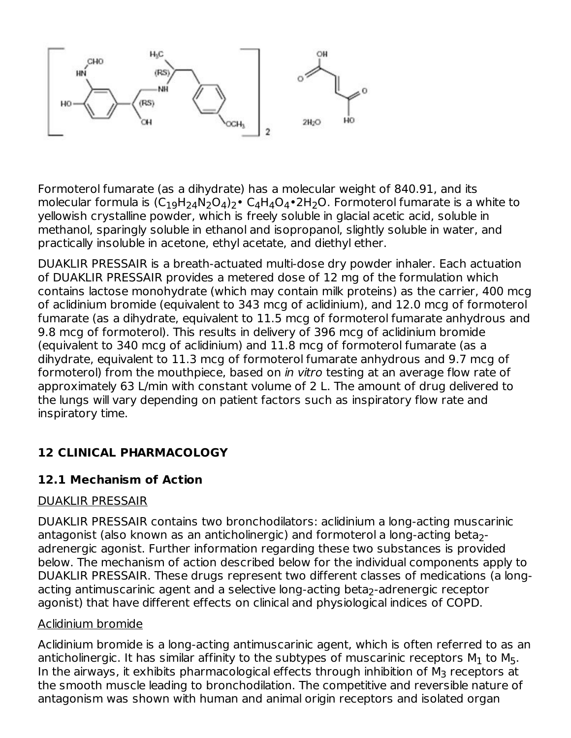

Formoterol fumarate (as a dihydrate) has a molecular weight of 840.91, and its molecular formula is  $(C_{19}H_{24}N_2O_4)_2$ • C<sub>4</sub>H<sub>4</sub>O<sub>4</sub>•2H<sub>2</sub>O. Formoterol fumarate is a white to yellowish crystalline powder, which is freely soluble in glacial acetic acid, soluble in methanol, sparingly soluble in ethanol and isopropanol, slightly soluble in water, and practically insoluble in acetone, ethyl acetate, and diethyl ether.

DUAKLIR PRESSAIR is a breath-actuated multi-dose dry powder inhaler. Each actuation of DUAKLIR PRESSAIR provides a metered dose of 12 mg of the formulation which contains lactose monohydrate (which may contain milk proteins) as the carrier, 400 mcg of aclidinium bromide (equivalent to 343 mcg of aclidinium), and 12.0 mcg of formoterol fumarate (as a dihydrate, equivalent to 11.5 mcg of formoterol fumarate anhydrous and 9.8 mcg of formoterol). This results in delivery of 396 mcg of aclidinium bromide (equivalent to 340 mcg of aclidinium) and 11.8 mcg of formoterol fumarate (as a dihydrate, equivalent to 11.3 mcg of formoterol fumarate anhydrous and 9.7 mcg of formoterol) from the mouthpiece, based on *in vitro* testing at an average flow rate of approximately 63 L/min with constant volume of 2 L. The amount of drug delivered to the lungs will vary depending on patient factors such as inspiratory flow rate and inspiratory time.

#### **12 CLINICAL PHARMACOLOGY**

#### **12.1 Mechanism of Action**

#### DUAKLIR PRESSAIR

DUAKLIR PRESSAIR contains two bronchodilators: aclidinium a long-acting muscarinic antagonist (also known as an anticholinergic) and formoterol a long-acting beta<sub>2</sub>adrenergic agonist. Further information regarding these two substances is provided below. The mechanism of action described below for the individual components apply to DUAKLIR PRESSAIR. These drugs represent two different classes of medications (a longacting antimuscarinic agent and a selective long-acting beta $_2$ -adrenergic receptor agonist) that have different effects on clinical and physiological indices of COPD.

#### Aclidinium bromide

Aclidinium bromide is a long-acting antimuscarinic agent, which is often referred to as an anticholinergic. It has similar affinity to the subtypes of muscarinic receptors M $_{\rm 1}$  to M $_{\rm 5}$ . In the airways, it exhibits pharmacological effects through inhibition of  $\mathsf{M}_3$  receptors at the smooth muscle leading to bronchodilation. The competitive and reversible nature of antagonism was shown with human and animal origin receptors and isolated organ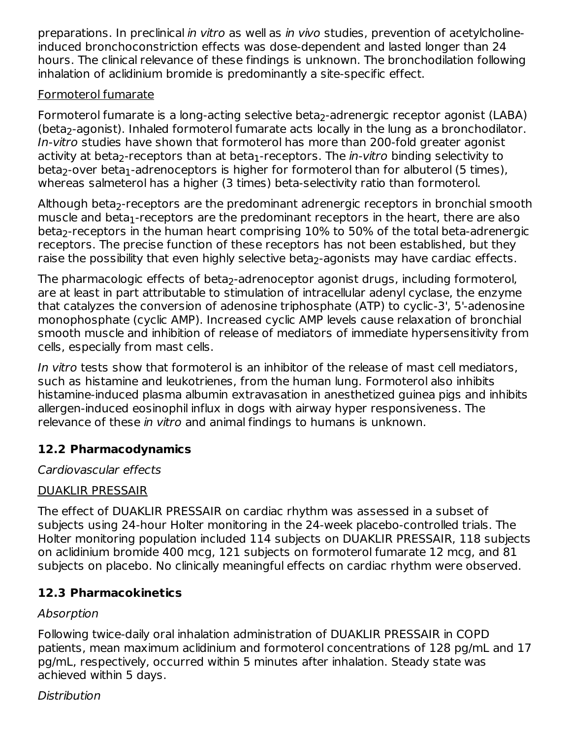preparations. In preclinical in vitro as well as in vivo studies, prevention of acetylcholineinduced bronchoconstriction effects was dose-dependent and lasted longer than 24 hours. The clinical relevance of these findings is unknown. The bronchodilation following inhalation of aclidinium bromide is predominantly a site-specific effect.

#### Formoterol fumarate

Formoterol fumarate is a long-acting selective beta<sub>2</sub>-adrenergic receptor agonist (LABA) (beta $_2$ -agonist). Inhaled formoterol fumarate acts locally in the lung as a bronchodilator. In-vitro studies have shown that formoterol has more than 200-fold greater agonist activity at beta<sub>2</sub>-receptors than at beta<sub>1</sub>-receptors. The *in-vitro* binding selectivity to beta<sub>2</sub>-over beta<sub>1</sub>-adrenoceptors is higher for formoterol than for albuterol (5 times), whereas salmeterol has a higher (3 times) beta-selectivity ratio than formoterol.

Although beta<sub>2</sub>-receptors are the predominant adrenergic receptors in bronchial smooth muscle and beta $_{\rm 1}$ -receptors are the predominant receptors in the heart, there are also beta $_2$ -receptors in the human heart comprising  $10\%$  to 50% of the total beta-adrenergic receptors. The precise function of these receptors has not been established, but they raise the possibility that even highly selective beta $_2$ -agonists may have cardiac effects.

The pharmacologic effects of beta $_2$ -adrenoceptor agonist drugs, including formoterol, are at least in part attributable to stimulation of intracellular adenyl cyclase, the enzyme that catalyzes the conversion of adenosine triphosphate (ATP) to cyclic-3', 5'-adenosine monophosphate (cyclic AMP). Increased cyclic AMP levels cause relaxation of bronchial smooth muscle and inhibition of release of mediators of immediate hypersensitivity from cells, especially from mast cells.

In vitro tests show that formoterol is an inhibitor of the release of mast cell mediators, such as histamine and leukotrienes, from the human lung. Formoterol also inhibits histamine-induced plasma albumin extravasation in anesthetized guinea pigs and inhibits allergen-induced eosinophil influx in dogs with airway hyper responsiveness. The relevance of these in vitro and animal findings to humans is unknown.

## **12.2 Pharmacodynamics**

#### Cardiovascular effects

## DUAKLIR PRESSAIR

The effect of DUAKLIR PRESSAIR on cardiac rhythm was assessed in a subset of subjects using 24-hour Holter monitoring in the 24-week placebo-controlled trials. The Holter monitoring population included 114 subjects on DUAKLIR PRESSAIR, 118 subjects on aclidinium bromide 400 mcg, 121 subjects on formoterol fumarate 12 mcg, and 81 subjects on placebo. No clinically meaningful effects on cardiac rhythm were observed.

## **12.3 Pharmacokinetics**

## Absorption

Following twice-daily oral inhalation administration of DUAKLIR PRESSAIR in COPD patients, mean maximum aclidinium and formoterol concentrations of 128 pg/mL and 17 pg/mL, respectively, occurred within 5 minutes after inhalation. Steady state was achieved within 5 days.

## Distribution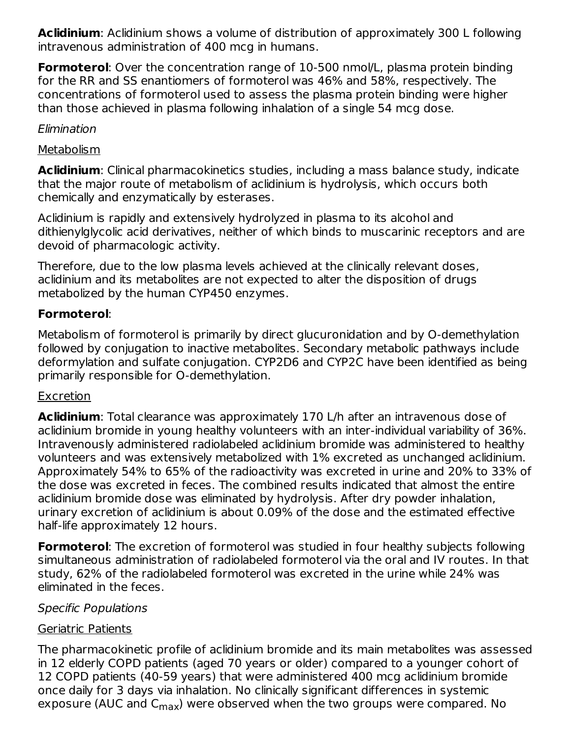**Aclidinium**: Aclidinium shows a volume of distribution of approximately 300 L following intravenous administration of 400 mcg in humans.

**Formoterol**: Over the concentration range of 10-500 nmol/L, plasma protein binding for the RR and SS enantiomers of formoterol was 46% and 58%, respectively. The concentrations of formoterol used to assess the plasma protein binding were higher than those achieved in plasma following inhalation of a single 54 mcg dose.

#### Elimination

#### **Metabolism**

**Aclidinium**: Clinical pharmacokinetics studies, including a mass balance study, indicate that the major route of metabolism of aclidinium is hydrolysis, which occurs both chemically and enzymatically by esterases.

Aclidinium is rapidly and extensively hydrolyzed in plasma to its alcohol and dithienylglycolic acid derivatives, neither of which binds to muscarinic receptors and are devoid of pharmacologic activity.

Therefore, due to the low plasma levels achieved at the clinically relevant doses, aclidinium and its metabolites are not expected to alter the disposition of drugs metabolized by the human CYP450 enzymes.

### **Formoterol**:

Metabolism of formoterol is primarily by direct glucuronidation and by O-demethylation followed by conjugation to inactive metabolites. Secondary metabolic pathways include deformylation and sulfate conjugation. CYP2D6 and CYP2C have been identified as being primarily responsible for O-demethylation.

#### Excretion

**Aclidinium**: Total clearance was approximately 170 L/h after an intravenous dose of aclidinium bromide in young healthy volunteers with an inter-individual variability of 36%. Intravenously administered radiolabeled aclidinium bromide was administered to healthy volunteers and was extensively metabolized with 1% excreted as unchanged aclidinium. Approximately 54% to 65% of the radioactivity was excreted in urine and 20% to 33% of the dose was excreted in feces. The combined results indicated that almost the entire aclidinium bromide dose was eliminated by hydrolysis. After dry powder inhalation, urinary excretion of aclidinium is about 0.09% of the dose and the estimated effective half-life approximately 12 hours.

**Formoterol**: The excretion of formoterol was studied in four healthy subjects following simultaneous administration of radiolabeled formoterol via the oral and IV routes. In that study, 62% of the radiolabeled formoterol was excreted in the urine while 24% was eliminated in the feces.

#### Specific Populations

#### Geriatric Patients

The pharmacokinetic profile of aclidinium bromide and its main metabolites was assessed in 12 elderly COPD patients (aged 70 years or older) compared to a younger cohort of 12 COPD patients (40-59 years) that were administered 400 mcg aclidinium bromide once daily for 3 days via inhalation. No clinically significant differences in systemic exposure (AUC and  $C_{\text{max}}$ ) were observed when the two groups were compared. No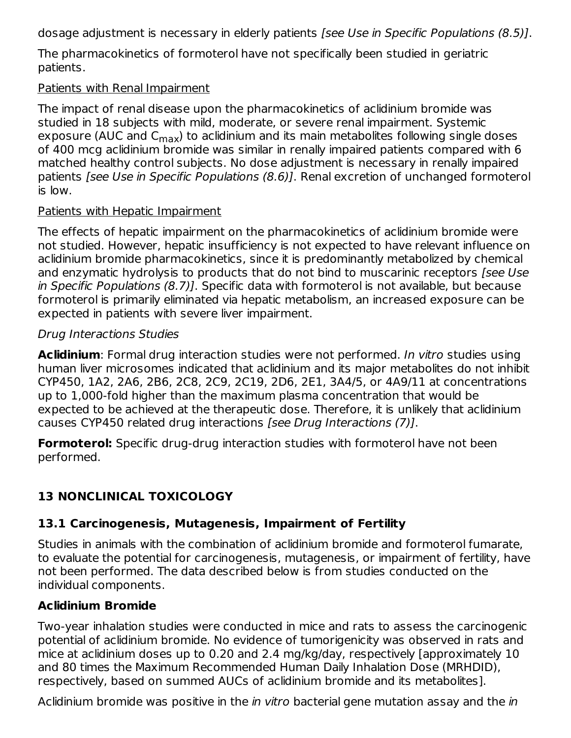dosage adjustment is necessary in elderly patients [see Use in Specific Populations (8.5)].

The pharmacokinetics of formoterol have not specifically been studied in geriatric patients.

#### Patients with Renal Impairment

The impact of renal disease upon the pharmacokinetics of aclidinium bromide was studied in 18 subjects with mild, moderate, or severe renal impairment. Systemic exposure (AUC and C<sub>max</sub>) to aclidinium and its main metabolites following single doses of 400 mcg aclidinium bromide was similar in renally impaired patients compared with 6 matched healthy control subjects. No dose adjustment is necessary in renally impaired patients [see Use in Specific Populations (8.6)]. Renal excretion of unchanged formoterol is low.

#### Patients with Hepatic Impairment

The effects of hepatic impairment on the pharmacokinetics of aclidinium bromide were not studied. However, hepatic insufficiency is not expected to have relevant influence on aclidinium bromide pharmacokinetics, since it is predominantly metabolized by chemical and enzymatic hydrolysis to products that do not bind to muscarinic receptors [see Use] in Specific Populations (8.7)]. Specific data with formoterol is not available, but because formoterol is primarily eliminated via hepatic metabolism, an increased exposure can be expected in patients with severe liver impairment.

#### Drug Interactions Studies

**Aclidinium**: Formal drug interaction studies were not performed. In vitro studies using human liver microsomes indicated that aclidinium and its major metabolites do not inhibit CYP450, 1A2, 2A6, 2B6, 2C8, 2C9, 2C19, 2D6, 2E1, 3A4/5, or 4A9/11 at concentrations up to 1,000-fold higher than the maximum plasma concentration that would be expected to be achieved at the therapeutic dose. Therefore, it is unlikely that aclidinium causes CYP450 related drug interactions [see Drug Interactions (7)].

**Formoterol:** Specific drug-drug interaction studies with formoterol have not been performed.

## **13 NONCLINICAL TOXICOLOGY**

#### **13.1 Carcinogenesis, Mutagenesis, Impairment of Fertility**

Studies in animals with the combination of aclidinium bromide and formoterol fumarate, to evaluate the potential for carcinogenesis, mutagenesis, or impairment of fertility, have not been performed. The data described below is from studies conducted on the individual components.

#### **Aclidinium Bromide**

Two-year inhalation studies were conducted in mice and rats to assess the carcinogenic potential of aclidinium bromide. No evidence of tumorigenicity was observed in rats and mice at aclidinium doses up to 0.20 and 2.4 mg/kg/day, respectively [approximately 10 and 80 times the Maximum Recommended Human Daily Inhalation Dose (MRHDID), respectively, based on summed AUCs of aclidinium bromide and its metabolites].

Aclidinium bromide was positive in the *in vitro* bacterial gene mutation assay and the *in*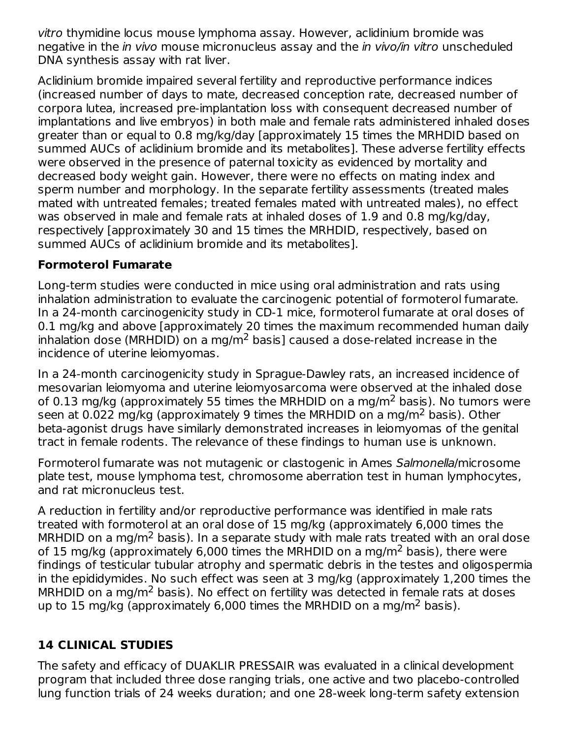vitro thymidine locus mouse lymphoma assay. However, aclidinium bromide was negative in the *in vivo* mouse micronucleus assay and the *in vivo/in vitro* unscheduled DNA synthesis assay with rat liver.

Aclidinium bromide impaired several fertility and reproductive performance indices (increased number of days to mate, decreased conception rate, decreased number of corpora lutea, increased pre-implantation loss with consequent decreased number of implantations and live embryos) in both male and female rats administered inhaled doses greater than or equal to 0.8 mg/kg/day [approximately 15 times the MRHDID based on summed AUCs of aclidinium bromide and its metabolites]. These adverse fertility effects were observed in the presence of paternal toxicity as evidenced by mortality and decreased body weight gain. However, there were no effects on mating index and sperm number and morphology. In the separate fertility assessments (treated males mated with untreated females; treated females mated with untreated males), no effect was observed in male and female rats at inhaled doses of 1.9 and 0.8 mg/kg/day, respectively [approximately 30 and 15 times the MRHDID, respectively, based on summed AUCs of aclidinium bromide and its metabolites].

#### **Formoterol Fumarate**

Long-term studies were conducted in mice using oral administration and rats using inhalation administration to evaluate the carcinogenic potential of formoterol fumarate. In a 24-month carcinogenicity study in CD-1 mice, formoterol fumarate at oral doses of 0.1 mg/kg and above [approximately 20 times the maximum recommended human daily inhalation dose (MRHDID) on a mg/m $^2$  basis] caused a dose-related increase in the incidence of uterine leiomyomas.

In a 24-month carcinogenicity study in Sprague-Dawley rats, an increased incidence of mesovarian leiomyoma and uterine leiomyosarcoma were observed at the inhaled dose of 0.13 mg/kg (approximately 55 times the MRHDID on a mg/m<sup>2</sup> basis). No tumors were seen at 0.022 mg/kg (approximately 9 times the MRHDID on a mg/m<sup>2</sup> basis). Other beta-agonist drugs have similarly demonstrated increases in leiomyomas of the genital tract in female rodents. The relevance of these findings to human use is unknown.

Formoterol fumarate was not mutagenic or clastogenic in Ames Salmonella/microsome plate test, mouse lymphoma test, chromosome aberration test in human lymphocytes, and rat micronucleus test.

A reduction in fertility and/or reproductive performance was identified in male rats treated with formoterol at an oral dose of 15 mg/kg (approximately 6,000 times the MRHDID on a mg/m<sup>2</sup> basis). In a separate study with male rats treated with an oral dose of 15 mg/kg (approximately 6,000 times the MRHDID on a mg/m<sup>2</sup> basis), there were findings of testicular tubular atrophy and spermatic debris in the testes and oligospermia in the epididymides. No such effect was seen at 3 mg/kg (approximately 1,200 times the MRHDID on a mg/m<sup>2</sup> basis). No effect on fertility was detected in female rats at doses up to 15 mg/kg (approximately 6,000 times the MRHDID on a mg/m<sup>2</sup> basis).

## **14 CLINICAL STUDIES**

The safety and efficacy of DUAKLIR PRESSAIR was evaluated in a clinical development program that included three dose ranging trials, one active and two placebo-controlled lung function trials of 24 weeks duration; and one 28-week long-term safety extension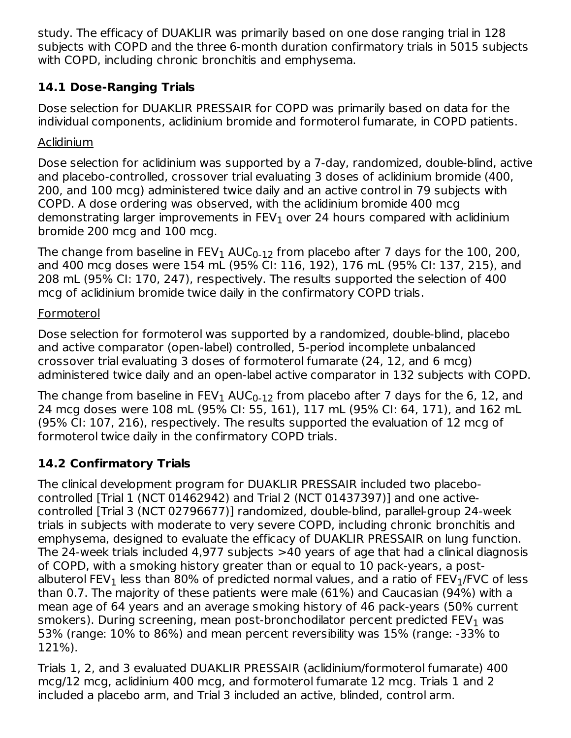study. The efficacy of DUAKLIR was primarily based on one dose ranging trial in 128 subjects with COPD and the three 6-month duration confirmatory trials in 5015 subjects with COPD, including chronic bronchitis and emphysema.

## **14.1 Dose-Ranging Trials**

Dose selection for DUAKLIR PRESSAIR for COPD was primarily based on data for the individual components, aclidinium bromide and formoterol fumarate, in COPD patients.

## Aclidinium

Dose selection for aclidinium was supported by a 7-day, randomized, double-blind, active and placebo-controlled, crossover trial evaluating 3 doses of aclidinium bromide (400, 200, and 100 mcg) administered twice daily and an active control in 79 subjects with COPD. A dose ordering was observed, with the aclidinium bromide 400 mcg demonstrating larger improvements in FEV $_{\rm 1}$  over 24 hours compared with aclidinium bromide 200 mcg and 100 mcg.

The change from baseline in FEV $_{\rm 1}$  AUC $_{\rm 0\text{-}12}$  from placebo after 7 days for the 100, 200, and 400 mcg doses were 154 mL (95% CI: 116, 192), 176 mL (95% CI: 137, 215), and 208 mL (95% CI: 170, 247), respectively. The results supported the selection of 400 mcg of aclidinium bromide twice daily in the confirmatory COPD trials.

### Formoterol

Dose selection for formoterol was supported by a randomized, double-blind, placebo and active comparator (open-label) controlled, 5-period incomplete unbalanced crossover trial evaluating 3 doses of formoterol fumarate (24, 12, and 6 mcg) administered twice daily and an open-label active comparator in 132 subjects with COPD.

The change from baseline in FEV $_{\rm 1}$  AUC $_{\rm 0\text{-}12}$  from placebo after 7 days for the 6, 12, and 24 mcg doses were 108 mL (95% CI: 55, 161), 117 mL (95% CI: 64, 171), and 162 mL (95% CI: 107, 216), respectively. The results supported the evaluation of 12 mcg of formoterol twice daily in the confirmatory COPD trials.

## **14.2 Confirmatory Trials**

The clinical development program for DUAKLIR PRESSAIR included two placebocontrolled [Trial 1 (NCT 01462942) and Trial 2 (NCT 01437397)] and one activecontrolled [Trial 3 (NCT 02796677)] randomized, double-blind, parallel-group 24-week trials in subjects with moderate to very severe COPD, including chronic bronchitis and emphysema, designed to evaluate the efficacy of DUAKLIR PRESSAIR on lung function. The 24-week trials included 4,977 subjects >40 years of age that had a clinical diagnosis of COPD, with a smoking history greater than or equal to 10 pack-years, a postalbuterol FEV $_{\rm 1}$  less than 80% of predicted normal values, and a ratio of FEV $_{\rm 1}$ /FVC of less than 0.7. The majority of these patients were male (61%) and Caucasian (94%) with a mean age of 64 years and an average smoking history of 46 pack-years (50% current smokers). During screening, mean post-bronchodilator percent predicted FEV $_{\rm 1}$  was 53% (range: 10% to 86%) and mean percent reversibility was 15% (range: -33% to 121%).

Trials 1, 2, and 3 evaluated DUAKLIR PRESSAIR (aclidinium/formoterol fumarate) 400 mcg/12 mcg, aclidinium 400 mcg, and formoterol fumarate 12 mcg. Trials 1 and 2 included a placebo arm, and Trial 3 included an active, blinded, control arm.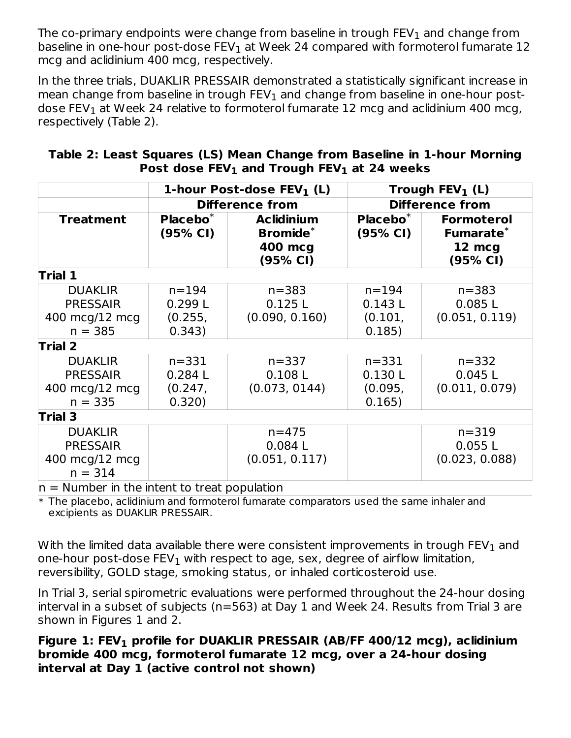The co-primary endpoints were change from baseline in trough  $\mathsf{FEV}_1$  and change from baseline in one-hour post-dose FEV $_{\rm 1}$  at Week 24 compared with formoterol fumarate  $12$ mcg and aclidinium 400 mcg, respectively.

In the three trials, DUAKLIR PRESSAIR demonstrated a statistically significant increase in mean change from baseline in trough  $\mathsf{FEV}_1$  and change from baseline in one-hour postdose FEV $_{\rm 1}$  at Week 24 relative to formoterol fumarate 12 mcg and aclidinium 400 mcg, respectively (Table 2).

| Table 2: Least Squares (LS) Mean Change from Baseline in 1-hour Morning |  |                                                  |  |
|-------------------------------------------------------------------------|--|--------------------------------------------------|--|
|                                                                         |  | Post dose $FEV_1$ and Trough $FEV_1$ at 24 weeks |  |

| 1-hour Post-dose $FEV1$ (L)                                      |                                                                                            |                                       | Trough $FEV_1$ (L)                       |                                                      |  |  |
|------------------------------------------------------------------|--------------------------------------------------------------------------------------------|---------------------------------------|------------------------------------------|------------------------------------------------------|--|--|
|                                                                  |                                                                                            | <b>Difference from</b>                | <b>Difference from</b>                   |                                                      |  |  |
| <b>Treatment</b>                                                 | $Placebo*$<br><b>Aclidinium</b><br>Bromide <sup>*</sup><br>(95% CI)<br>400 mcg<br>(95% CI) |                                       | Placebo <sup>*</sup><br>(95% CI)         | <b>Formoterol</b><br>Fumarate*<br>12 mcg<br>(95% CI) |  |  |
| Trial 1                                                          |                                                                                            |                                       |                                          |                                                      |  |  |
| <b>DUAKLIR</b><br><b>PRESSAIR</b><br>400 mcg/12 mcg<br>$n = 385$ | $n = 194$<br>0.299L<br>(0.255,<br>0.343)                                                   | $n = 383$<br>0.125L<br>(0.090, 0.160) | $n = 194$<br>0.143L<br>(0.101,<br>0.185) | $n = 383$<br>0.085L<br>(0.051, 0.119)                |  |  |
| <b>Trial 2</b>                                                   |                                                                                            |                                       |                                          |                                                      |  |  |
| <b>DUAKLIR</b><br><b>PRESSAIR</b><br>400 mcg/12 mcg<br>$n = 335$ | $n = 331$<br>0.284L<br>(0.247,<br>0.320)                                                   | $n = 337$<br>0.108L<br>(0.073, 0144)  | $n = 331$<br>0.130L<br>(0.095,<br>0.165) | $n = 332$<br>0.045L<br>(0.011, 0.079)                |  |  |
| <b>Trial 3</b>                                                   |                                                                                            |                                       |                                          |                                                      |  |  |
| <b>DUAKLIR</b><br><b>PRESSAIR</b><br>400 mcg/12 mcg<br>$n = 314$ | Microsoft and the distance of the distant is a microsoft and                               | $n = 475$<br>0.084L<br>(0.051, 0.117) |                                          | $n = 319$<br>0.055L<br>(0.023, 0.088)                |  |  |

 $n =$  Number in the intent to treat population

\* The placebo, aclidinium and formoterol fumarate comparators used the same inhaler and excipients as DUAKLIR PRESSAIR.

With the limited data available there were consistent improvements in trough FEV $_{\rm 1}$  and one-hour post-dose FEV $_{\rm 1}$  with respect to age, sex, degree of airflow limitation, reversibility, GOLD stage, smoking status, or inhaled corticosteroid use.

In Trial 3, serial spirometric evaluations were performed throughout the 24-hour dosing interval in a subset of subjects (n=563) at Day 1 and Week 24. Results from Trial 3 are shown in Figures 1 and 2.

**Figure 1: FEV profile for DUAKLIR PRESSAIR (AB/FF 400/12 mcg), aclidinium 1bromide 400 mcg, formoterol fumarate 12 mcg, over a 24-hour dosing interval at Day 1 (active control not shown)**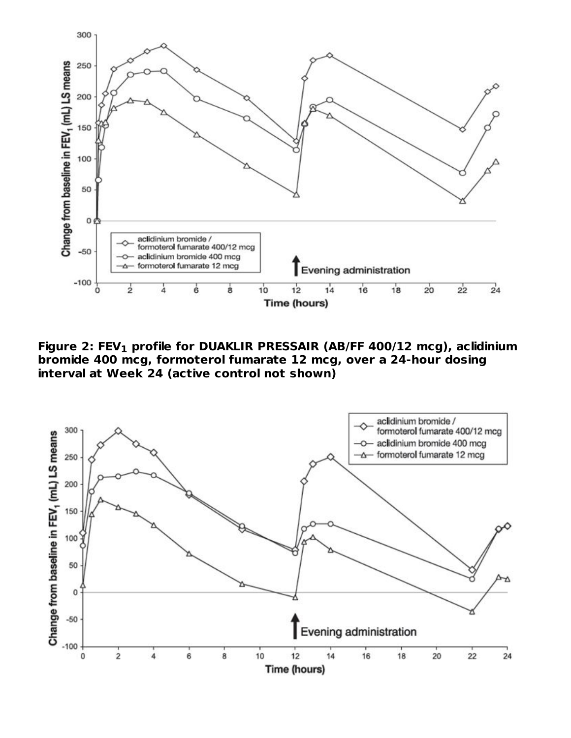

**Figure 2: FEV profile for DUAKLIR PRESSAIR (AB/FF 400/12 mcg), aclidinium 1bromide 400 mcg, formoterol fumarate 12 mcg, over a 24-hour dosing interval at Week 24 (active control not shown)**

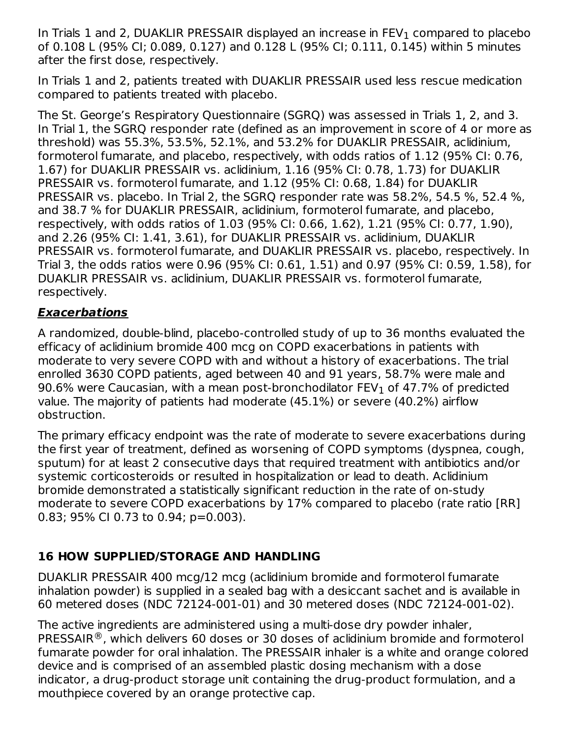In Trials 1 and 2, DUAKLIR PRESSAIR displayed an increase in FEV $_{\rm 1}$  compared to placebo of 0.108 L (95% CI; 0.089, 0.127) and 0.128 L (95% CI; 0.111, 0.145) within 5 minutes after the first dose, respectively.

In Trials 1 and 2, patients treated with DUAKLIR PRESSAIR used less rescue medication compared to patients treated with placebo.

The St. George's Respiratory Questionnaire (SGRQ) was assessed in Trials 1, 2, and 3. In Trial 1, the SGRQ responder rate (defined as an improvement in score of 4 or more as threshold) was 55.3%, 53.5%, 52.1%, and 53.2% for DUAKLIR PRESSAIR, aclidinium, formoterol fumarate, and placebo, respectively, with odds ratios of 1.12 (95% CI: 0.76, 1.67) for DUAKLIR PRESSAIR vs. aclidinium, 1.16 (95% CI: 0.78, 1.73) for DUAKLIR PRESSAIR vs. formoterol fumarate, and 1.12 (95% CI: 0.68, 1.84) for DUAKLIR PRESSAIR vs. placebo. In Trial 2, the SGRQ responder rate was 58.2%, 54.5 %, 52.4 %, and 38.7 % for DUAKLIR PRESSAIR, aclidinium, formoterol fumarate, and placebo, respectively, with odds ratios of 1.03 (95% CI: 0.66, 1.62), 1.21 (95% CI: 0.77, 1.90), and 2.26 (95% CI: 1.41, 3.61), for DUAKLIR PRESSAIR vs. aclidinium, DUAKLIR PRESSAIR vs. formoterol fumarate, and DUAKLIR PRESSAIR vs. placebo, respectively. In Trial 3, the odds ratios were 0.96 (95% CI: 0.61, 1.51) and 0.97 (95% CI: 0.59, 1.58), for DUAKLIR PRESSAIR vs. aclidinium, DUAKLIR PRESSAIR vs. formoterol fumarate, respectively.

#### **Exacerbations**

A randomized, double-blind, placebo-controlled study of up to 36 months evaluated the efficacy of aclidinium bromide 400 mcg on COPD exacerbations in patients with moderate to very severe COPD with and without a history of exacerbations. The trial enrolled 3630 COPD patients, aged between 40 and 91 years, 58.7% were male and 90.6% were Caucasian, with a mean post-bronchodilator FEV $_{\rm 1}$  of 47.7% of predicted value. The majority of patients had moderate (45.1%) or severe (40.2%) airflow obstruction.

The primary efficacy endpoint was the rate of moderate to severe exacerbations during the first year of treatment, defined as worsening of COPD symptoms (dyspnea, cough, sputum) for at least 2 consecutive days that required treatment with antibiotics and/or systemic corticosteroids or resulted in hospitalization or lead to death. Aclidinium bromide demonstrated a statistically significant reduction in the rate of on-study moderate to severe COPD exacerbations by 17% compared to placebo (rate ratio [RR] 0.83; 95% CI 0.73 to 0.94; p=0.003).

#### **16 HOW SUPPLIED/STORAGE AND HANDLING**

DUAKLIR PRESSAIR 400 mcg/12 mcg (aclidinium bromide and formoterol fumarate inhalation powder) is supplied in a sealed bag with a desiccant sachet and is available in 60 metered doses (NDC 72124-001-01) and 30 metered doses (NDC 72124-001-02).

The active ingredients are administered using a multi-dose dry powder inhaler, PRESSAIR $^\circledR$ , which delivers 60 doses or 30 doses of aclidinium bromide and formoterol fumarate powder for oral inhalation. The PRESSAIR inhaler is a white and orange colored device and is comprised of an assembled plastic dosing mechanism with a dose indicator, a drug-product storage unit containing the drug-product formulation, and a mouthpiece covered by an orange protective cap.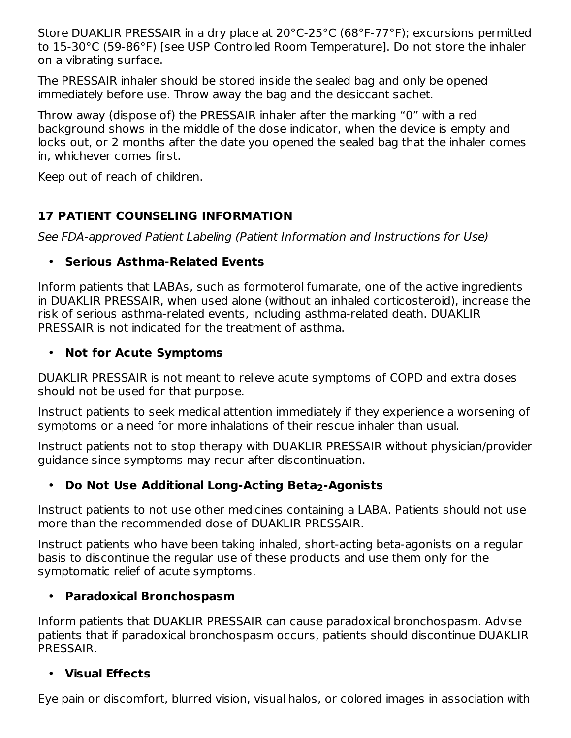Store DUAKLIR PRESSAIR in a dry place at 20°C-25°C (68°F-77°F); excursions permitted to 15-30°C (59-86°F) [see USP Controlled Room Temperature]. Do not store the inhaler on a vibrating surface.

The PRESSAIR inhaler should be stored inside the sealed bag and only be opened immediately before use. Throw away the bag and the desiccant sachet.

Throw away (dispose of) the PRESSAIR inhaler after the marking "0" with a red background shows in the middle of the dose indicator, when the device is empty and locks out, or 2 months after the date you opened the sealed bag that the inhaler comes in, whichever comes first.

Keep out of reach of children.

## **17 PATIENT COUNSELING INFORMATION**

See FDA-approved Patient Labeling (Patient Information and Instructions for Use)

## • **Serious Asthma-Related Events**

Inform patients that LABAs, such as formoterol fumarate, one of the active ingredients in DUAKLIR PRESSAIR, when used alone (without an inhaled corticosteroid), increase the risk of serious asthma-related events, including asthma-related death. DUAKLIR PRESSAIR is not indicated for the treatment of asthma.

#### • **Not for Acute Symptoms**

DUAKLIR PRESSAIR is not meant to relieve acute symptoms of COPD and extra doses should not be used for that purpose.

Instruct patients to seek medical attention immediately if they experience a worsening of symptoms or a need for more inhalations of their rescue inhaler than usual.

Instruct patients not to stop therapy with DUAKLIR PRESSAIR without physician/provider guidance since symptoms may recur after discontinuation.

## • **Do Not Use Additional Long-Acting Beta2-Agonists**

Instruct patients to not use other medicines containing a LABA. Patients should not use more than the recommended dose of DUAKLIR PRESSAIR.

Instruct patients who have been taking inhaled, short-acting beta-agonists on a regular basis to discontinue the regular use of these products and use them only for the symptomatic relief of acute symptoms.

## • **Paradoxical Bronchospasm**

Inform patients that DUAKLIR PRESSAIR can cause paradoxical bronchospasm. Advise patients that if paradoxical bronchospasm occurs, patients should discontinue DUAKLIR PRESSAIR.

## • **Visual Effects**

Eye pain or discomfort, blurred vision, visual halos, or colored images in association with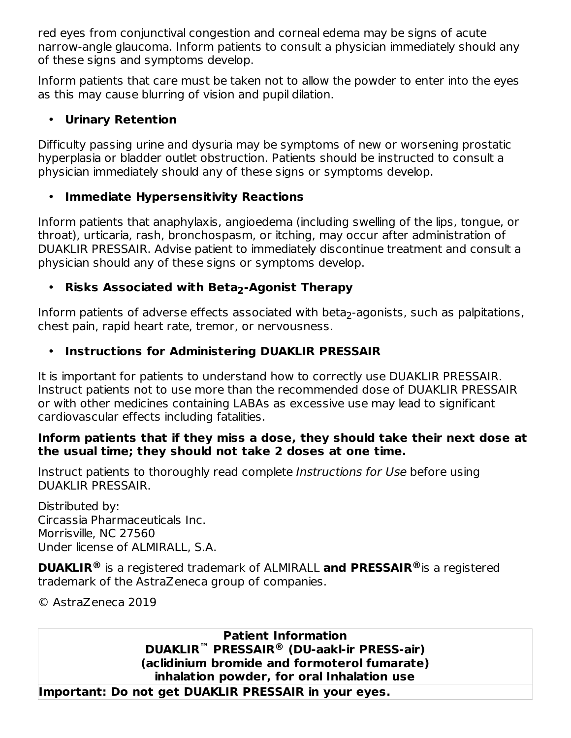red eyes from conjunctival congestion and corneal edema may be signs of acute narrow-angle glaucoma. Inform patients to consult a physician immediately should any of these signs and symptoms develop.

Inform patients that care must be taken not to allow the powder to enter into the eyes as this may cause blurring of vision and pupil dilation.

#### • **Urinary Retention**

Difficulty passing urine and dysuria may be symptoms of new or worsening prostatic hyperplasia or bladder outlet obstruction. Patients should be instructed to consult a physician immediately should any of these signs or symptoms develop.

## • **Immediate Hypersensitivity Reactions**

Inform patients that anaphylaxis, angioedema (including swelling of the lips, tongue, or throat), urticaria, rash, bronchospasm, or itching, may occur after administration of DUAKLIR PRESSAIR. Advise patient to immediately discontinue treatment and consult a physician should any of these signs or symptoms develop.

## • **Risks Associated with Beta2-Agonist Therapy**

Inform patients of adverse effects associated with beta $_2$ -agonists, such as palpitations, chest pain, rapid heart rate, tremor, or nervousness.

#### • **Instructions for Administering DUAKLIR PRESSAIR**

It is important for patients to understand how to correctly use DUAKLIR PRESSAIR. Instruct patients not to use more than the recommended dose of DUAKLIR PRESSAIR or with other medicines containing LABAs as excessive use may lead to significant cardiovascular effects including fatalities.

#### **Inform patients that if they miss a dose, they should take their next dose at the usual time; they should not take 2 doses at one time.**

Instruct patients to thoroughly read complete Instructions for Use before using DUAKLIR PRESSAIR.

Distributed by: Circassia Pharmaceuticals Inc. Morrisville, NC 27560 Under license of ALMIRALL, S.A.

**DUAKLIR**<sup>®</sup> is a registered trademark of ALMIRALL and PRESSAIR<sup>®</sup> is a registered trademark of the AstraZeneca group of companies.

© AstraZeneca 2019

**Patient Information DUAKLIR PRESSAIR (DU-aakl-ir PRESS-air) ™ ®(aclidinium bromide and formoterol fumarate) inhalation powder, for oral Inhalation use Important: Do not get DUAKLIR PRESSAIR in your eyes.**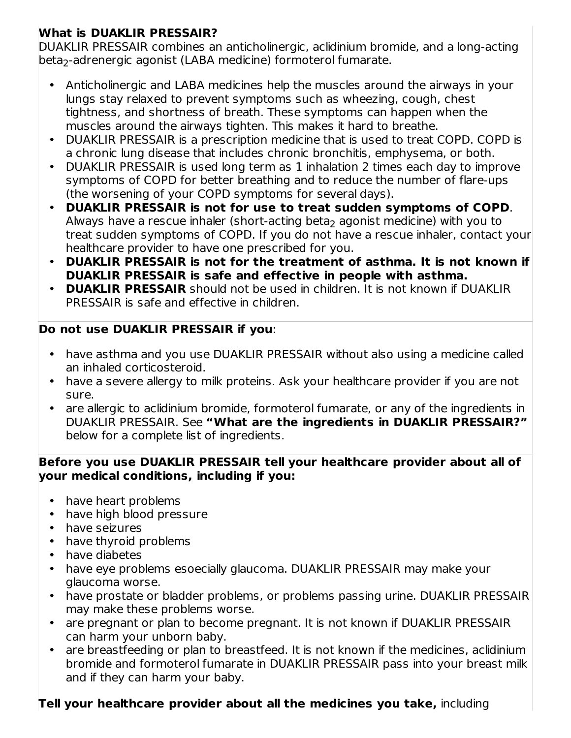## **What is DUAKLIR PRESSAIR?**

DUAKLIR PRESSAIR combines an anticholinergic, aclidinium bromide, and a long-acting beta<sub>2</sub>-adrenergic agonist (LABA medicine) formoterol fumarate.

- Anticholinergic and LABA medicines help the muscles around the airways in your lungs stay relaxed to prevent symptoms such as wheezing, cough, chest tightness, and shortness of breath. These symptoms can happen when the muscles around the airways tighten. This makes it hard to breathe.
- DUAKLIR PRESSAIR is a prescription medicine that is used to treat COPD. COPD is a chronic lung disease that includes chronic bronchitis, emphysema, or both.
- DUAKLIR PRESSAIR is used long term as 1 inhalation 2 times each day to improve symptoms of COPD for better breathing and to reduce the number of flare-ups (the worsening of your COPD symptoms for several days).
- **DUAKLIR PRESSAIR is not for use to treat sudden symptoms of COPD**. Always have a rescue inhaler (short-acting beta $_2$  agonist medicine) with you to treat sudden symptoms of COPD. If you do not have a rescue inhaler, contact your healthcare provider to have one prescribed for you.
- **DUAKLIR PRESSAIR is not for the treatment of asthma. It is not known if DUAKLIR PRESSAIR is safe and effective in people with asthma.**
- **DUAKLIR PRESSAIR** should not be used in children. It is not known if DUAKLIR PRESSAIR is safe and effective in children.

## **Do not use DUAKLIR PRESSAIR if you**:

- have asthma and you use DUAKLIR PRESSAIR without also using a medicine called an inhaled corticosteroid.
- have a severe allergy to milk proteins. Ask your healthcare provider if you are not sure.
- are allergic to aclidinium bromide, formoterol fumarate, or any of the ingredients in DUAKLIR PRESSAIR. See **"What are the ingredients in DUAKLIR PRESSAIR?"** below for a complete list of ingredients.

#### **Before you use DUAKLIR PRESSAIR tell your healthcare provider about all of your medical conditions, including if you:**

- have heart problems
- have high blood pressure
- have seizures
- have thyroid problems
- have diabetes
- have eye problems esoecially glaucoma. DUAKLIR PRESSAIR may make your glaucoma worse.
- have prostate or bladder problems, or problems passing urine. DUAKLIR PRESSAIR may make these problems worse.
- are pregnant or plan to become pregnant. It is not known if DUAKLIR PRESSAIR can harm your unborn baby.
- are breastfeeding or plan to breastfeed. It is not known if the medicines, aclidinium bromide and formoterol fumarate in DUAKLIR PRESSAIR pass into your breast milk and if they can harm your baby.

## **Tell your healthcare provider about all the medicines you take,** including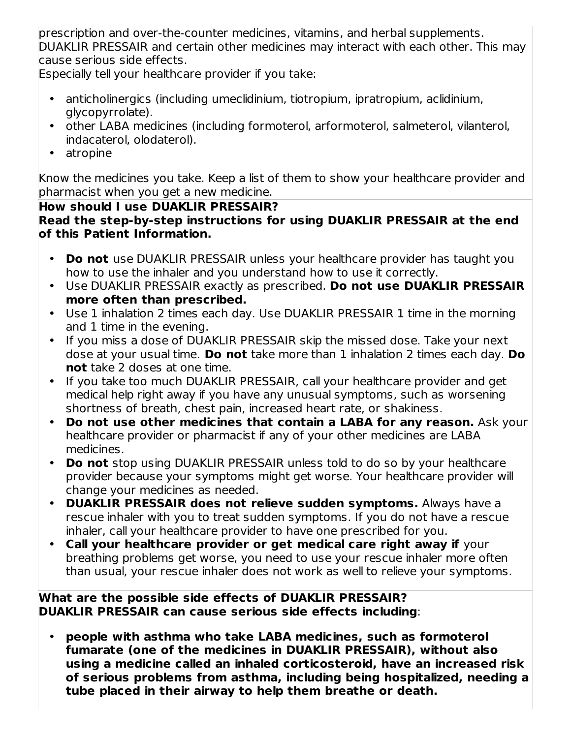prescription and over-the-counter medicines, vitamins, and herbal supplements. DUAKLIR PRESSAIR and certain other medicines may interact with each other. This may cause serious side effects.

Especially tell your healthcare provider if you take:

- anticholinergics (including umeclidinium, tiotropium, ipratropium, aclidinium, glycopyrrolate).
- other LABA medicines (including formoterol, arformoterol, salmeterol, vilanterol, indacaterol, olodaterol).
- atropine

Know the medicines you take. Keep a list of them to show your healthcare provider and pharmacist when you get a new medicine.

#### **How should I use DUAKLIR PRESSAIR?**

**Read the step-by-step instructions for using DUAKLIR PRESSAIR at the end of this Patient Information.**

- **Do not** use DUAKLIR PRESSAIR unless your healthcare provider has taught you how to use the inhaler and you understand how to use it correctly.
- Use DUAKLIR PRESSAIR exactly as prescribed. **Do not use DUAKLIR PRESSAIR more often than prescribed.**
- Use 1 inhalation 2 times each day. Use DUAKLIR PRESSAIR 1 time in the morning and 1 time in the evening.
- If you miss a dose of DUAKLIR PRESSAIR skip the missed dose. Take your next dose at your usual time. **Do not** take more than 1 inhalation 2 times each day. **Do not** take 2 doses at one time.
- If you take too much DUAKLIR PRESSAIR, call your healthcare provider and get medical help right away if you have any unusual symptoms, such as worsening shortness of breath, chest pain, increased heart rate, or shakiness.
- **Do not use other medicines that contain a LABA for any reason.** Ask your healthcare provider or pharmacist if any of your other medicines are LABA medicines.
- **Do not** stop using DUAKLIR PRESSAIR unless told to do so by your healthcare provider because your symptoms might get worse. Your healthcare provider will change your medicines as needed.
- **DUAKLIR PRESSAIR does not relieve sudden symptoms.** Always have a rescue inhaler with you to treat sudden symptoms. If you do not have a rescue inhaler, call your healthcare provider to have one prescribed for you.
- **Call your healthcare provider or get medical care right away if** your breathing problems get worse, you need to use your rescue inhaler more often than usual, your rescue inhaler does not work as well to relieve your symptoms.

#### **What are the possible side effects of DUAKLIR PRESSAIR? DUAKLIR PRESSAIR can cause serious side effects including**:

• **people with asthma who take LABA medicines, such as formoterol fumarate (one of the medicines in DUAKLIR PRESSAIR), without also using a medicine called an inhaled corticosteroid, have an increased risk of serious problems from asthma, including being hospitalized, needing a tube placed in their airway to help them breathe or death.**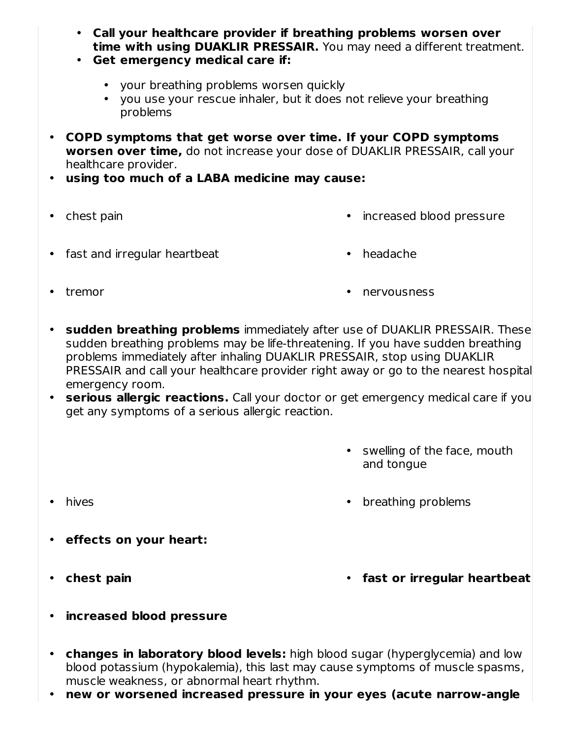- **Call your healthcare provider if breathing problems worsen over time with using DUAKLIR PRESSAIR.** You may need a different treatment.
- **Get emergency medical care if:**
	- your breathing problems worsen quickly
	- you use your rescue inhaler, but it does not relieve your breathing problems
- **COPD symptoms that get worse over time. If your COPD symptoms worsen over time,** do not increase your dose of DUAKLIR PRESSAIR, call your healthcare provider.
- **using too much of a LABA medicine may cause:**
- chest pain
- increased blood pressure
- fast and irregular heartbeat headache
	-

• tremor

- nervousness
- **sudden breathing problems** immediately after use of DUAKLIR PRESSAIR. These sudden breathing problems may be life-threatening. If you have sudden breathing problems immediately after inhaling DUAKLIR PRESSAIR, stop using DUAKLIR PRESSAIR and call your healthcare provider right away or go to the nearest hospital emergency room.
- **serious allergic reactions.** Call your doctor or get emergency medical care if you get any symptoms of a serious allergic reaction.
	- swelling of the face, mouth and tongue
- •
- hives **breathing problems**
- **effects on your heart:**
- chest pain

**chest pain fast or irregular heartbeat**

- **increased blood pressure**
- $\bullet$ **changes in laboratory blood levels:** high blood sugar (hyperglycemia) and low blood potassium (hypokalemia), this last may cause symptoms of muscle spasms, muscle weakness, or abnormal heart rhythm.
- **new or worsened increased pressure in your eyes (acute narrow-angle**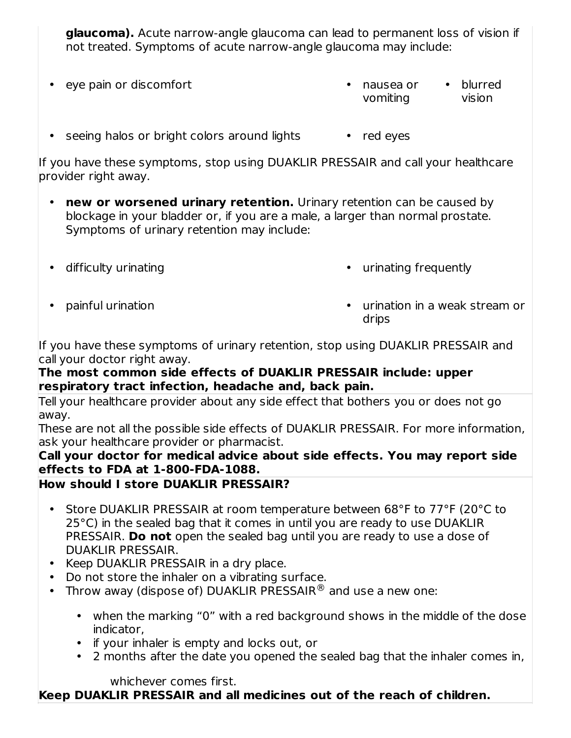**glaucoma).** Acute narrow-angle glaucoma can lead to permanent loss of vision if not treated. Symptoms of acute narrow-angle glaucoma may include:

- eye pain or discomfort **abula compare to contract of the contract of the contract of the contract of the contract of the contract of the contract of the contract of the contract of the contract of the contract of the con** vomiting • blurred vision
- seeing halos or bright colors around lights red eyes

If you have these symptoms, stop using DUAKLIR PRESSAIR and call your healthcare provider right away.

- **new or worsened urinary retention.** Urinary retention can be caused by blockage in your bladder or, if you are a male, a larger than normal prostate. Symptoms of urinary retention may include:
- difficulty urinating

• urinating frequently

• painful urination

 $\cdot$  urination in a weak stream or drips

If you have these symptoms of urinary retention, stop using DUAKLIR PRESSAIR and call your doctor right away.

#### **The most common side effects of DUAKLIR PRESSAIR include: upper respiratory tract infection, headache and, back pain.**

Tell your healthcare provider about any side effect that bothers you or does not go away.

These are not all the possible side effects of DUAKLIR PRESSAIR. For more information, ask your healthcare provider or pharmacist.

#### **Call your doctor for medical advice about side effects. You may report side effects to FDA at 1-800-FDA-1088.**

## **How should I store DUAKLIR PRESSAIR?**

- Store DUAKLIR PRESSAIR at room temperature between 68°F to 77°F (20°C to 25°C) in the sealed bag that it comes in until you are ready to use DUAKLIR PRESSAIR. **Do not** open the sealed bag until you are ready to use a dose of DUAKLIR PRESSAIR.
- Keep DUAKLIR PRESSAIR in a dry place.
- $\bullet$ Do not store the inhaler on a vibrating surface.
- Throw away (dispose of) DUAKLIR PRESSAIR<sup>®</sup> and use a new one:
	- when the marking "0" with a red background shows in the middle of the dose indicator,
	- if your inhaler is empty and locks out, or
	- 2 months after the date you opened the sealed bag that the inhaler comes in,

whichever comes first.

## **Keep DUAKLIR PRESSAIR and all medicines out of the reach of children.**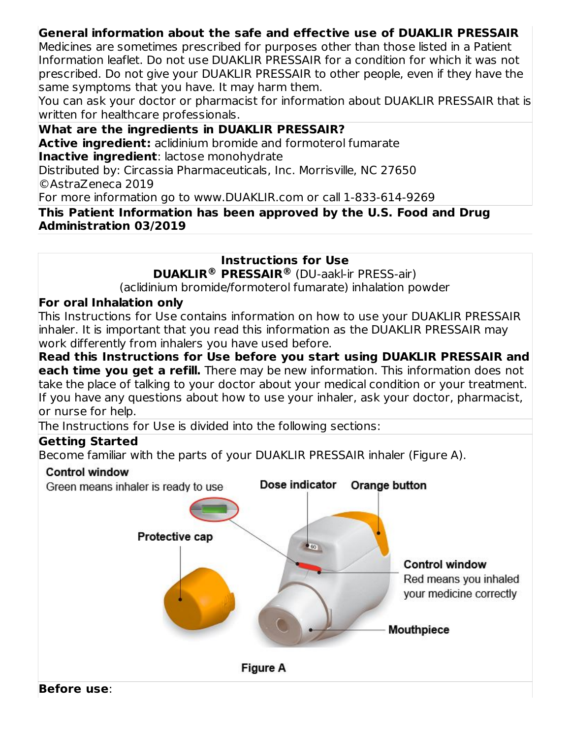### **General information about the safe and effective use of DUAKLIR PRESSAIR**

Medicines are sometimes prescribed for purposes other than those listed in a Patient Information leaflet. Do not use DUAKLIR PRESSAIR for a condition for which it was not prescribed. Do not give your DUAKLIR PRESSAIR to other people, even if they have the same symptoms that you have. It may harm them.

You can ask your doctor or pharmacist for information about DUAKLIR PRESSAIR that is written for healthcare professionals.

#### **What are the ingredients in DUAKLIR PRESSAIR?**

**Active ingredient:** aclidinium bromide and formoterol fumarate **Inactive ingredient**: lactose monohydrate

Distributed by: Circassia Pharmaceuticals, Inc. Morrisville, NC 27650 ©AstraZeneca 2019

For more information go to www.DUAKLIR.com or call 1-833-614-9269

#### **This Patient Information has been approved by the U.S. Food and Drug Administration 03/2019**

**Instructions for Use**

**DUAKLIR PRESSAIR** (DU-aakl-ir PRESS-air) **® ®**

(aclidinium bromide/formoterol fumarate) inhalation powder

#### **For oral Inhalation only**

This Instructions for Use contains information on how to use your DUAKLIR PRESSAIR inhaler. It is important that you read this information as the DUAKLIR PRESSAIR may work differently from inhalers you have used before.

**Read this Instructions for Use before you start using DUAKLIR PRESSAIR and each time you get a refill.** There may be new information. This information does not take the place of talking to your doctor about your medical condition or your treatment. If you have any questions about how to use your inhaler, ask your doctor, pharmacist, or nurse for help.

The Instructions for Use is divided into the following sections:

#### **Getting Started**

Become familiar with the parts of your DUAKLIR PRESSAIR inhaler (Figure A).

#### **Control window**

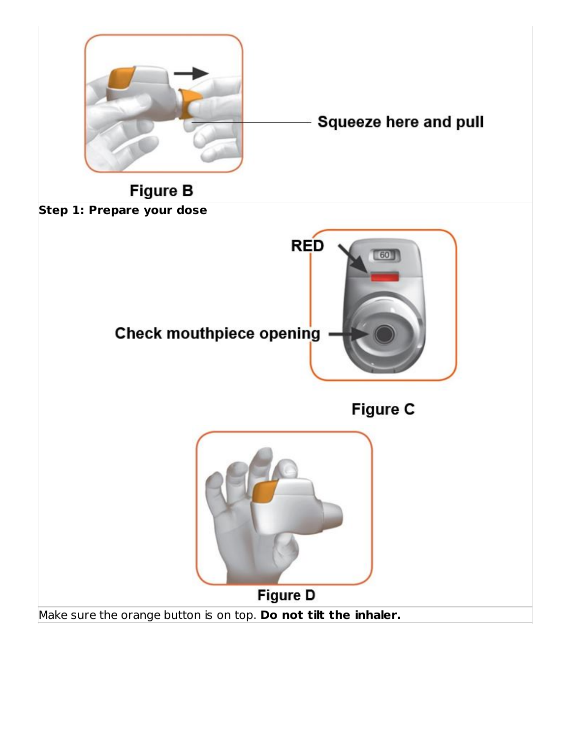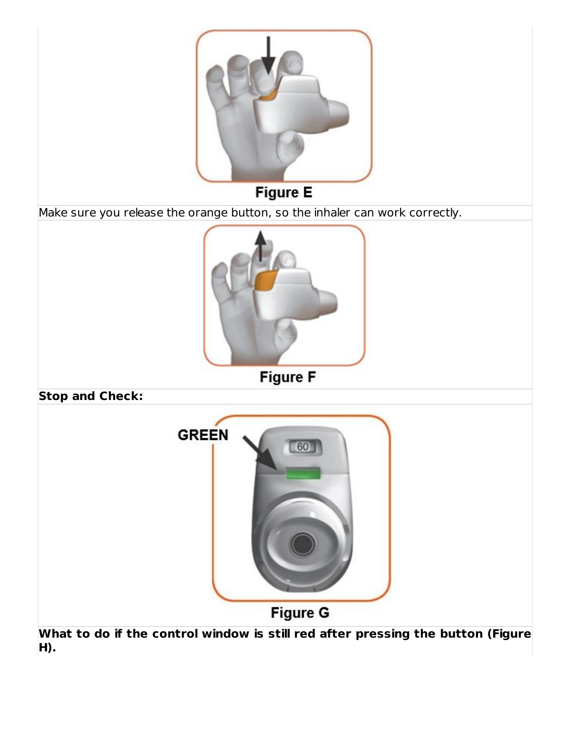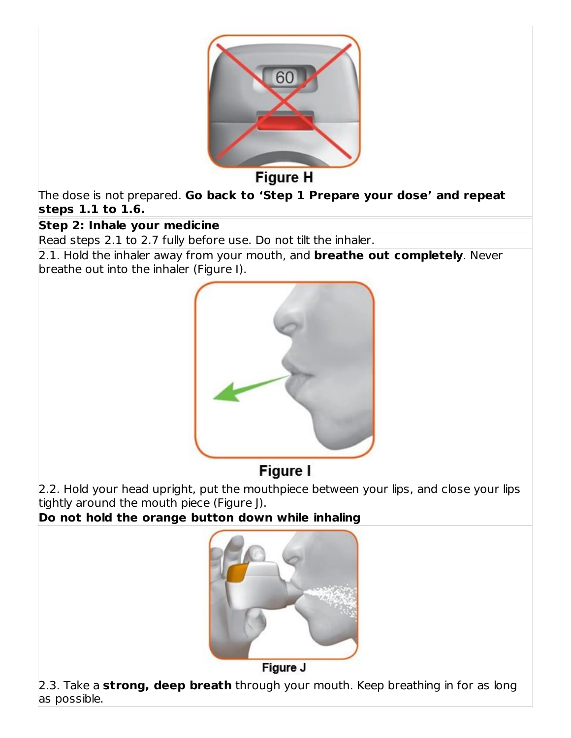

**Figure H** 

The dose is not prepared. **Go back to 'Step 1 Prepare your dose' and repeat steps 1.1 to 1.6.**

#### **Step 2: Inhale your medicine**

Read steps 2.1 to 2.7 fully before use. Do not tilt the inhaler.

2.1. Hold the inhaler away from your mouth, and **breathe out completely**. Never breathe out into the inhaler (Figure I).



# Figure I

2.2. Hold your head upright, put the mouthpiece between your lips, and close your lips tightly around the mouth piece (Figure J).

**Do not hold the orange button down while inhaling**



Figure J

2.3. Take a **strong, deep breath** through your mouth. Keep breathing in for as long as possible.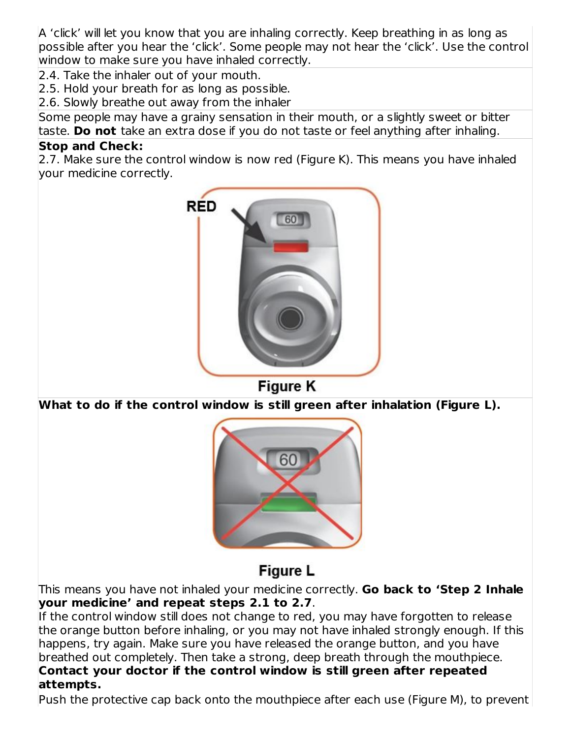A 'click' will let you know that you are inhaling correctly. Keep breathing in as long as possible after you hear the 'click'. Some people may not hear the 'click'. Use the control window to make sure you have inhaled correctly.

2.4. Take the inhaler out of your mouth.

2.5. Hold your breath for as long as possible.

2.6. Slowly breathe out away from the inhaler

Some people may have a grainy sensation in their mouth, or a slightly sweet or bitter taste. **Do not** take an extra dose if you do not taste or feel anything after inhaling.

#### **Stop and Check:**

2.7. Make sure the control window is now red (Figure K). This means you have inhaled your medicine correctly.



**Figure K** 

**What to do if the control window is still green after inhalation (Figure L).**



# **Figure L**

This means you have not inhaled your medicine correctly. **Go back to 'Step 2 Inhale your medicine' and repeat steps 2.1 to 2.7**.

If the control window still does not change to red, you may have forgotten to release the orange button before inhaling, or you may not have inhaled strongly enough. If this happens, try again. Make sure you have released the orange button, and you have breathed out completely. Then take a strong, deep breath through the mouthpiece. **Contact your doctor if the control window is still green after repeated attempts.**

Push the protective cap back onto the mouthpiece after each use (Figure M), to prevent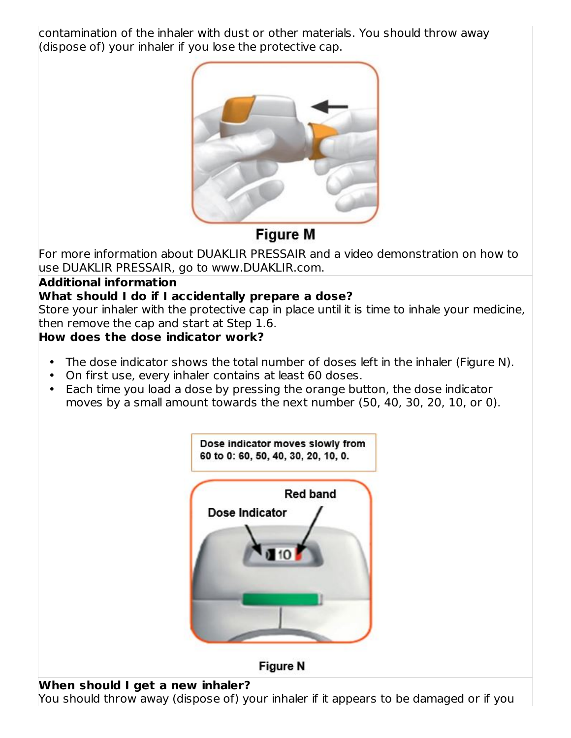contamination of the inhaler with dust or other materials. You should throw away (dispose of) your inhaler if you lose the protective cap.



# **Figure M**

For more information about DUAKLIR PRESSAIR and a video demonstration on how to use DUAKLIR PRESSAIR, go to www.DUAKLIR.com.

## **Additional information**

## **What should I do if I accidentally prepare a dose?**

Store your inhaler with the protective cap in place until it is time to inhale your medicine, then remove the cap and start at Step 1.6.

## **How does the dose indicator work?**

- The dose indicator shows the total number of doses left in the inhaler (Figure N).
- On first use, every inhaler contains at least 60 doses.
- Each time you load a dose by pressing the orange button, the dose indicator moves by a small amount towards the next number (50, 40, 30, 20, 10, or 0).



## **When should I get a new inhaler?**

You should throw away (dispose of) your inhaler if it appears to be damaged or if you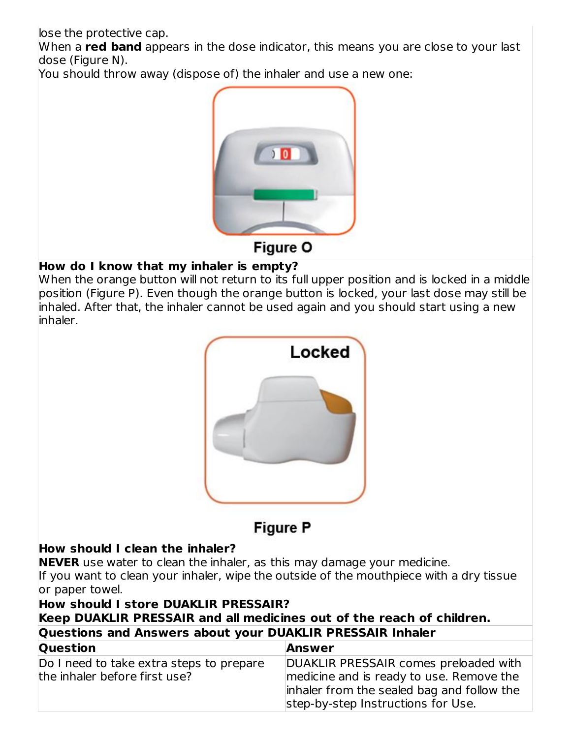lose the protective cap.

When a **red band** appears in the dose indicator, this means you are close to your last dose (Figure N).

You should throw away (dispose of) the inhaler and use a new one:



### **How do I know that my inhaler is empty?**

When the orange button will not return to its full upper position and is locked in a middle position (Figure P). Even though the orange button is locked, your last dose may still be inhaled. After that, the inhaler cannot be used again and you should start using a new inhaler.



**Figure P** 

# **How should I clean the inhaler?**

**NEVER** use water to clean the inhaler, as this may damage your medicine. If you want to clean your inhaler, wipe the outside of the mouthpiece with a dry tissue or paper towel.

## **How should I store DUAKLIR PRESSAIR? Keep DUAKLIR PRESSAIR and all medicines out of the reach of children. Questions and Answers about your DUAKLIR PRESSAIR Inhaler Question Answer**

| .                                        |                                            |
|------------------------------------------|--------------------------------------------|
| Do I need to take extra steps to prepare | DUAKLIR PRESSAIR comes preloaded with      |
| the inhaler before first use?            | medicine and is ready to use. Remove the   |
|                                          | inhaler from the sealed bag and follow the |
|                                          | step-by-step Instructions for Use.         |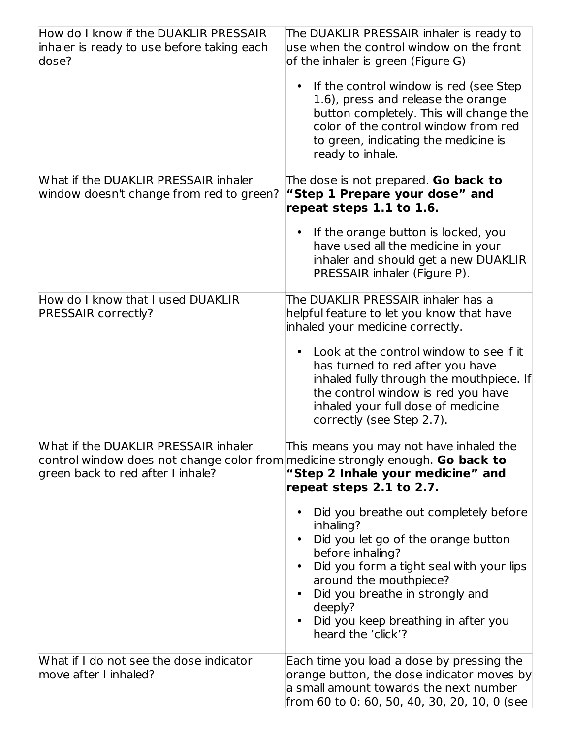| How do I know if the DUAKLIR PRESSAIR<br>inhaler is ready to use before taking each<br>dose?                                                                       | The DUAKLIR PRESSAIR inhaler is ready to<br>use when the control window on the front<br>of the inhaler is green (Figure G)                                                                                                                                                                                                                         |
|--------------------------------------------------------------------------------------------------------------------------------------------------------------------|----------------------------------------------------------------------------------------------------------------------------------------------------------------------------------------------------------------------------------------------------------------------------------------------------------------------------------------------------|
|                                                                                                                                                                    | • If the control window is red (see Step<br>1.6), press and release the orange<br>button completely. This will change the<br>color of the control window from red<br>to green, indicating the medicine is<br>ready to inhale.                                                                                                                      |
| What if the DUAKLIR PRESSAIR inhaler<br>window doesn't change from red to green?                                                                                   | The dose is not prepared. Go back to<br>"Step 1 Prepare your dose" and<br>repeat steps 1.1 to 1.6.                                                                                                                                                                                                                                                 |
|                                                                                                                                                                    | If the orange button is locked, you<br>$\bullet$<br>have used all the medicine in your<br>inhaler and should get a new DUAKLIR<br>PRESSAIR inhaler (Figure P).                                                                                                                                                                                     |
| How do I know that I used DUAKLIR<br><b>PRESSAIR correctly?</b>                                                                                                    | The DUAKLIR PRESSAIR inhaler has a<br>helpful feature to let you know that have<br>inhaled your medicine correctly.                                                                                                                                                                                                                                |
|                                                                                                                                                                    | Look at the control window to see if it<br>$\bullet$<br>has turned to red after you have<br>inhaled fully through the mouthpiece. If<br>the control window is red you have<br>inhaled your full dose of medicine<br>correctly (see Step 2.7).                                                                                                      |
| What if the DUAKLIR PRESSAIR inhaler<br>control window does not change color from medicine strongly enough. <b>Go back to</b><br>green back to red after I inhale? | This means you may not have inhaled the<br>"Step 2 Inhale your medicine" and<br>repeat steps 2.1 to 2.7.                                                                                                                                                                                                                                           |
|                                                                                                                                                                    | Did you breathe out completely before<br>$\bullet$<br>inhaling?<br>Did you let go of the orange button<br>$\bullet$<br>before inhaling?<br>Did you form a tight seal with your lips<br>around the mouthpiece?<br>Did you breathe in strongly and<br>$\bullet$<br>deeply?<br>Did you keep breathing in after you<br>$\bullet$<br>heard the 'click'? |
| What if I do not see the dose indicator<br>move after I inhaled?                                                                                                   | Each time you load a dose by pressing the<br>orange button, the dose indicator moves by<br>a small amount towards the next number<br>from 60 to 0: 60, 50, 40, 30, 20, 10, 0 (see                                                                                                                                                                  |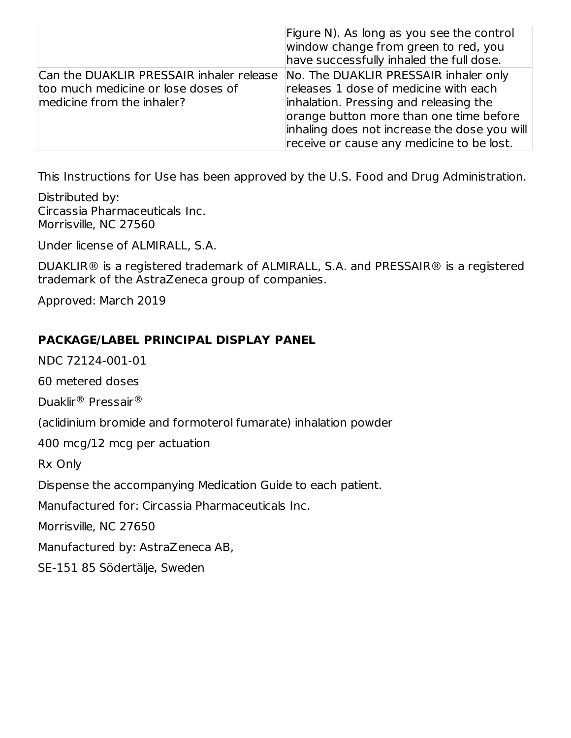|                                                                                                                                                    | Figure N). As long as you see the control<br>window change from green to red, you<br>have successfully inhaled the full dose.                                                                                           |
|----------------------------------------------------------------------------------------------------------------------------------------------------|-------------------------------------------------------------------------------------------------------------------------------------------------------------------------------------------------------------------------|
| Can the DUAKLIR PRESSAIR inhaler release No. The DUAKLIR PRESSAIR inhaler only<br>too much medicine or lose doses of<br>medicine from the inhaler? | releases 1 dose of medicine with each<br>inhalation. Pressing and releasing the<br>orange button more than one time before<br>inhaling does not increase the dose you will<br>receive or cause any medicine to be lost. |

This Instructions for Use has been approved by the U.S. Food and Drug Administration.

Distributed by: Circassia Pharmaceuticals Inc. Morrisville, NC 27560

Under license of ALMIRALL, S.A.

DUAKLIR® is a registered trademark of ALMIRALL, S.A. and PRESSAIR® is a registered trademark of the AstraZeneca group of companies.

Approved: March 2019

#### **PACKAGE/LABEL PRINCIPAL DISPLAY PANEL**

NDC 72124-001-01

60 metered doses

Duaklir® Pressair®

(aclidinium bromide and formoterol fumarate) inhalation powder

400 mcg/12 mcg per actuation

Rx Only

Dispense the accompanying Medication Guide to each patient.

Manufactured for: Circassia Pharmaceuticals Inc.

Morrisville, NC 27650

Manufactured by: AstraZeneca AB,

SE-151 85 Södertälje, Sweden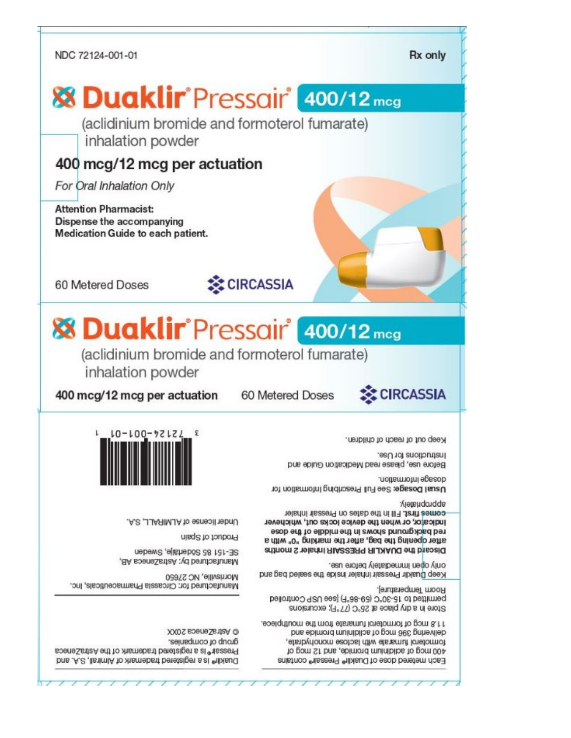